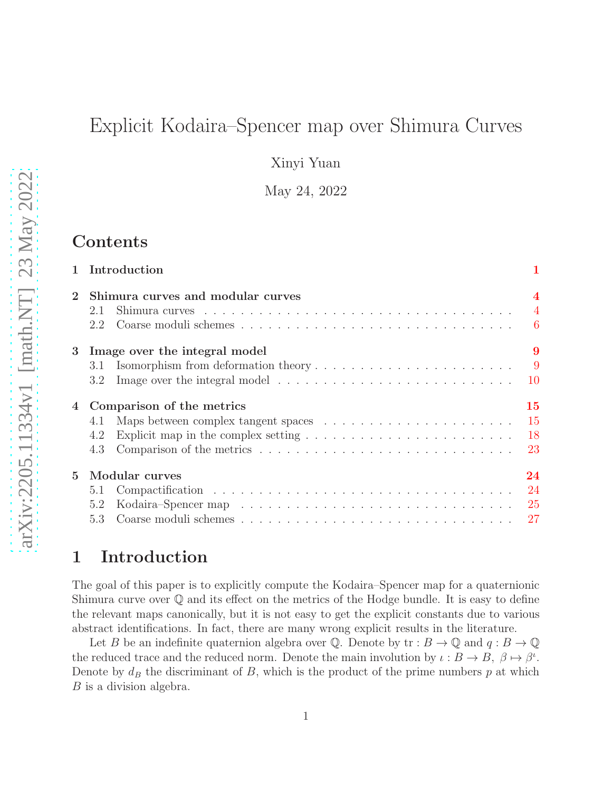# Explicit Kodaira–Spencer map over Shimura Curves

Xinyi Yuan

May 24, 2022

# Contents

|                | 1 Introduction                                                                                       |                                           |
|----------------|------------------------------------------------------------------------------------------------------|-------------------------------------------|
|                | Shimura curves and modular curves<br>2.1                                                             | $\overline{\mathbf{4}}$<br>$\overline{4}$ |
|                | 2.2                                                                                                  | 6                                         |
| 3 <sup>1</sup> | Image over the integral model                                                                        | 9                                         |
|                | 3.1                                                                                                  | 9                                         |
|                | 3.2                                                                                                  | <b>10</b>                                 |
| 4              | Comparison of the metrics                                                                            | 15                                        |
|                | 4.1                                                                                                  | 15                                        |
|                | Explicit map in the complex setting $\ldots \ldots \ldots \ldots \ldots \ldots \ldots \ldots$<br>4.2 | 18                                        |
|                | 4.3                                                                                                  | 23                                        |
| $\mathbf{5}$   | Modular curves                                                                                       | 24                                        |
|                | 5.1                                                                                                  | 24                                        |
|                | 5.2                                                                                                  | 25                                        |
|                | 53                                                                                                   | 27                                        |

# <span id="page-0-0"></span>1 Introduction

The goal of this paper is to explicitly compute the Kodaira–Spencer map for a quaternionic Shimura curve over  $\mathbb Q$  and its effect on the metrics of the Hodge bundle. It is easy to define the relevant maps canonically, but it is not easy to get the explicit constants due to various abstract identifications. In fact, there are many wrong explicit results in the literature.

Let B be an indefinite quaternion algebra over Q. Denote by  $\text{tr}: B \to \mathbb{Q}$  and  $q: B \to \mathbb{Q}$ the reduced trace and the reduced norm. Denote the main involution by  $\iota : B \to B$ ,  $\beta \mapsto \beta^{\iota}$ . Denote by  $d_B$  the discriminant of B, which is the product of the prime numbers p at which B is a division algebra.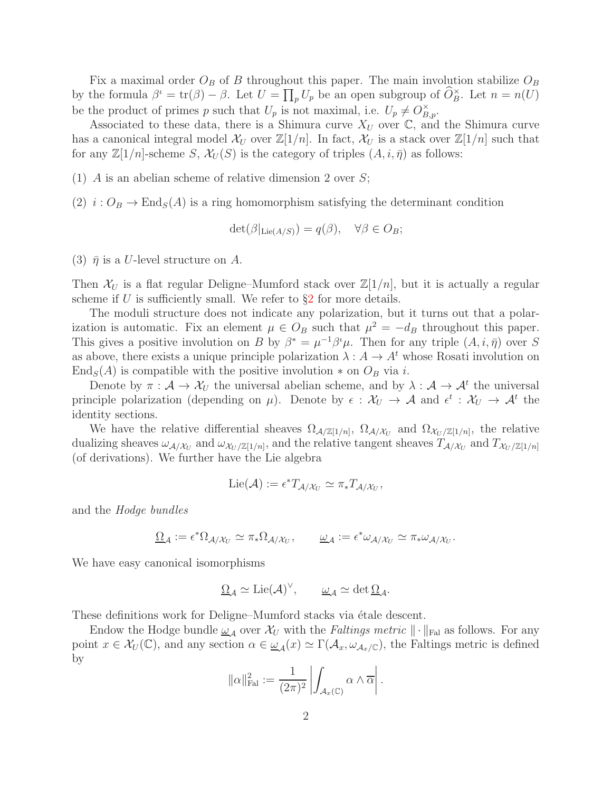Fix a maximal order  $O_B$  of B throughout this paper. The main involution stabilize  $O_B$ by the formula  $\beta^i = \text{tr}(\beta) - \beta$ . Let  $U = \prod_p U_p$  be an open subgroup of  $\widehat{O}_B^{\times}$ . Let  $n = n(U)$ be the product of primes p such that  $U_p$  is not maximal, i.e.  $U_p \neq O_{B,p}^{\times}$ .

Associated to these data, there is a Shimura curve  $X_U$  over  $\mathbb{C}$ , and the Shimura curve has a canonical integral model  $\mathcal{X}_U$  over  $\mathbb{Z}[1/n]$ . In fact,  $\mathcal{X}_U$  is a stack over  $\mathbb{Z}[1/n]$  such that for any  $\mathbb{Z}[1/n]$ -scheme  $S, \mathcal{X}_U(S)$  is the category of triples  $(A, i, \overline{\eta})$  as follows:

(1) A is an abelian scheme of relative dimension 2 over  $S$ ;

(2)  $i: O_B \to \text{End}_S(A)$  is a ring homomorphism satisfying the determinant condition

$$
\det(\beta|_{\mathrm{Lie}(A/S)}) = q(\beta), \quad \forall \beta \in O_B;
$$

(3)  $\bar{\eta}$  is a U-level structure on A.

Then  $\mathcal{X}_U$  is a flat regular Deligne–Mumford stack over  $\mathbb{Z}[1/n]$ , but it is actually a regular scheme if U is sufficiently small. We refer to  $\S2$  $\S2$  for more details.

The moduli structure does not indicate any polarization, but it turns out that a polarization is automatic. Fix an element  $\mu \in O_B$  such that  $\mu^2 = -d_B$  throughout this paper. This gives a positive involution on B by  $\beta^* = \mu^{-1} \beta^i \mu$ . Then for any triple  $(A, i, \bar{\eta})$  over S as above, there exists a unique principle polarization  $\lambda : A \to A^t$  whose Rosati involution on End<sub>S</sub>(A) is compatible with the positive involution  $*$  on  $O_B$  via i.

Denote by  $\pi : A \to X_U$  the universal abelian scheme, and by  $\lambda : A \to A^t$  the universal principle polarization (depending on  $\mu$ ). Denote by  $\epsilon : \mathcal{X}_U \to \mathcal{A}$  and  $\epsilon^t : \mathcal{X}_U \to \mathcal{A}^t$  the identity sections.

We have the relative differential sheaves  $\Omega_{\mathcal{A}/\mathbb{Z}[1/n]}$ ,  $\Omega_{\mathcal{A}/\mathcal{X}_U}$  and  $\Omega_{\mathcal{X}_U/\mathbb{Z}[1/n]}$ , the relative dualizing sheaves  $\omega_{\mathcal{A}/X_U}$  and  $\omega_{\mathcal{X}_U/\mathbb{Z}[1/n]}$ , and the relative tangent sheaves  $T_{\mathcal{A}/X_U}$  and  $T_{X_U/\mathbb{Z}[1/n]}$ (of derivations). We further have the Lie algebra

$$
\mathrm{Lie}(\mathcal{A}) := \epsilon^* T_{\mathcal{A}/\mathcal{X}_U} \simeq \pi_* T_{\mathcal{A}/\mathcal{X}_U},
$$

and the Hodge bundles

$$
\underline{\Omega}_{\mathcal{A}} := \epsilon^* \Omega_{\mathcal{A}/\mathcal{X}_U} \simeq \pi_* \Omega_{\mathcal{A}/\mathcal{X}_U}, \qquad \underline{\omega}_{\mathcal{A}} := \epsilon^* \omega_{\mathcal{A}/\mathcal{X}_U} \simeq \pi_* \omega_{\mathcal{A}/\mathcal{X}_U}.
$$

We have easy canonical isomorphisms

$$
\underline{\Omega}_{\mathcal{A}} \simeq \mathrm{Lie}(\mathcal{A})^{\vee}, \qquad \underline{\omega}_{\mathcal{A}} \simeq \det \underline{\Omega}_{\mathcal{A}}.
$$

These definitions work for Deligne–Mumford stacks via étale descent.

Endow the Hodge bundle  $\underline{\omega}_{\mathcal{A}}$  over  $\mathcal{X}_U$  with the *Faltings metric*  $\|\cdot\|_{\text{Fal}}$  as follows. For any point  $x \in \mathcal{X}_U(\mathbb{C})$ , and any section  $\alpha \in \underline{\omega}_\mathcal{A}(x) \simeq \Gamma(\mathcal{A}_x, \omega_{\mathcal{A}_x/\mathbb{C}})$ , the Faltings metric is defined by

$$
\|\alpha\|_{\mathrm{Fal}}^2 := \frac{1}{(2\pi)^2} \left| \int_{\mathcal{A}_x(\mathbb{C})} \alpha \wedge \overline{\alpha} \right|.
$$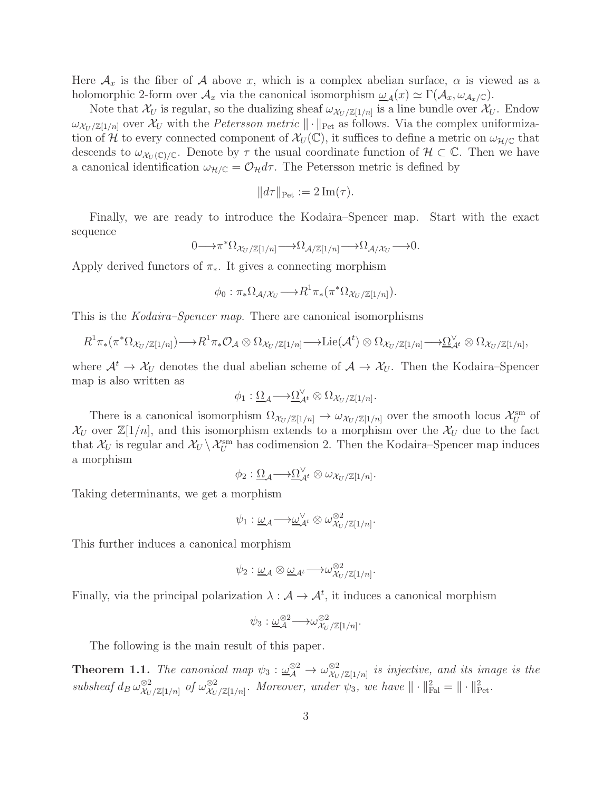Here  $\mathcal{A}_x$  is the fiber of  $\mathcal A$  above x, which is a complex abelian surface,  $\alpha$  is viewed as a holomorphic 2-form over  $\mathcal{A}_x$  via the canonical isomorphism  $\omega_A(x) \simeq \Gamma(\mathcal{A}_x, \omega_{\mathcal{A}_x/\mathbb{C}})$ .

Note that  $\mathcal{X}_U$  is regular, so the dualizing sheaf  $\omega_{\mathcal{X}_U/\mathbb{Z}[1/n]}$  is a line bundle over  $\mathcal{X}_U$ . Endow  $\omega_{\mathcal{X}_U/\mathbb{Z}[1/n]}$  over  $\mathcal{X}_U$  with the *Petersson metric*  $\|\cdot\|_{\text{Pet}}$  as follows. Via the complex uniformization of H to every connected component of  $\mathcal{X}_U(\mathbb{C})$ , it suffices to define a metric on  $\omega_{\mathcal{H}/\mathbb{C}}$  that descends to  $\omega_{\mathcal{X}_U(\mathbb{C})/\mathbb{C}}$ . Denote by  $\tau$  the usual coordinate function of  $\mathcal{H} \subset \mathbb{C}$ . Then we have a canonical identification  $\omega_{\mathcal{H}/\mathbb{C}} = \mathcal{O}_{\mathcal{H}} d\tau$ . The Petersson metric is defined by

$$
||d\tau||_{\text{Pet}} := 2 \operatorname{Im}(\tau).
$$

Finally, we are ready to introduce the Kodaira–Spencer map. Start with the exact sequence

$$
0 \longrightarrow \pi^* \Omega_{\mathcal{X}_U/\mathbb{Z}[1/n]} \longrightarrow \Omega_{\mathcal{A}/\mathbb{Z}[1/n]} \longrightarrow \Omega_{\mathcal{A}/\mathcal{X}_U} \longrightarrow 0.
$$

Apply derived functors of  $\pi_*$ . It gives a connecting morphism

$$
\phi_0: \pi_*\Omega_{\mathcal{A}/\mathcal{X}_U} \longrightarrow R^1\pi_*\left(\pi^*\Omega_{\mathcal{X}_U/\mathbb{Z}[1/n]}\right).
$$

This is the Kodaira–Spencer map. There are canonical isomorphisms

$$
R^1\pi_* (\pi^*\Omega_{\mathcal{X}_U/\mathbb{Z}[1/n]}) \longrightarrow R^1\pi_*\mathcal{O}_{\mathcal{A}} \otimes \Omega_{\mathcal{X}_U/\mathbb{Z}[1/n]} \longrightarrow \mathrm{Lie}(\mathcal{A}^t) \otimes \Omega_{\mathcal{X}_U/\mathbb{Z}[1/n]} \longrightarrow \underline{\Omega}^{\vee}_{\mathcal{A}^t} \otimes \Omega_{\mathcal{X}_U/\mathbb{Z}[1/n]},
$$

where  $\mathcal{A}^t \to \mathcal{X}_U$  denotes the dual abelian scheme of  $\mathcal{A} \to \mathcal{X}_U$ . Then the Kodaira–Spencer map is also written as

$$
\phi_1: \underline{\Omega}_{\mathcal{A}} \longrightarrow \underline{\Omega}_{\mathcal{A}^t}^{\vee} \otimes \Omega_{\mathcal{X}_U/\mathbb{Z}[1/n]}.
$$

There is a canonical isomorphism  $\Omega_{\mathcal{X}_U/\mathbb{Z}[1/n]} \to \omega_{\mathcal{X}_U/\mathbb{Z}[1/n]}$  over the smooth locus  $\mathcal{X}_U^{\text{sm}}$  of  $\mathcal{X}_U$  over  $\mathbb{Z}[1/n]$ , and this isomorphism extends to a morphism over the  $\mathcal{X}_U$  due to the fact that  $\mathcal{X}_U$  is regular and  $\mathcal{X}_U \setminus \mathcal{X}_U^{\text{sm}}$  has codimension 2. Then the Kodaira–Spencer map induces a morphism

$$
\phi_2: \underline{\Omega}_{\mathcal{A}} \longrightarrow \underline{\Omega}_{\mathcal{A}^t}^{\vee} \otimes \omega_{\mathcal{X}_U/\mathbb{Z}[1/n]}.
$$

Taking determinants, we get a morphism

$$
\psi_1 : \underline{\omega}_{\mathcal{A}} \longrightarrow \underline{\omega}_{\mathcal{A}^t}^{\vee} \otimes \omega_{\mathcal{X}_U/\mathbb{Z}[1/n]}^{\otimes 2}.
$$

This further induces a canonical morphism

$$
\psi_2: \underline{\omega}_{\mathcal{A}} \otimes \underline{\omega}_{\mathcal{A}^t} \longrightarrow \omega_{\mathcal{X}_U/\mathbb{Z}[1/n]}^{\otimes 2}.
$$

Finally, via the principal polarization  $\lambda : \mathcal{A} \to \mathcal{A}^t$ , it induces a canonical morphism

$$
\psi_3: \underline{\omega}_{\mathcal{A}}^{\otimes 2} \longrightarrow \omega_{\mathcal{X}_U/\mathbb{Z}[1/n]}^{\otimes 2}.
$$

The following is the main result of this paper.

<span id="page-2-0"></span>**Theorem 1.1.** The canonical map  $\psi_3 : \underline{\omega}_\mathcal{A}^{\otimes 2} \to \omega_{\mathcal{X}_U}^{\otimes 2}$  $\frac{\otimes 2}{\mathcal{X}_U/\mathbb{Z}[1/n]}$  is injective, and its image is the  $subsheaf d_B \omega_{\mathcal{X}_{U}}^{\otimes 2}$  $\frac{\otimes 2}{\mathcal{X}_U/\mathbb{Z}[1/n]}$  of  $\omega_{\mathcal{X}_U}^{\otimes 2}$  $\frac{\otimes 2}{\mathcal{X}_U/\mathbb{Z}[1/n]}.$  Moreover, under  $\psi_3$ , we have  $\|\cdot\|_{\text{Pal}}^2 = \|\cdot\|_{\text{Pet}}^2$ .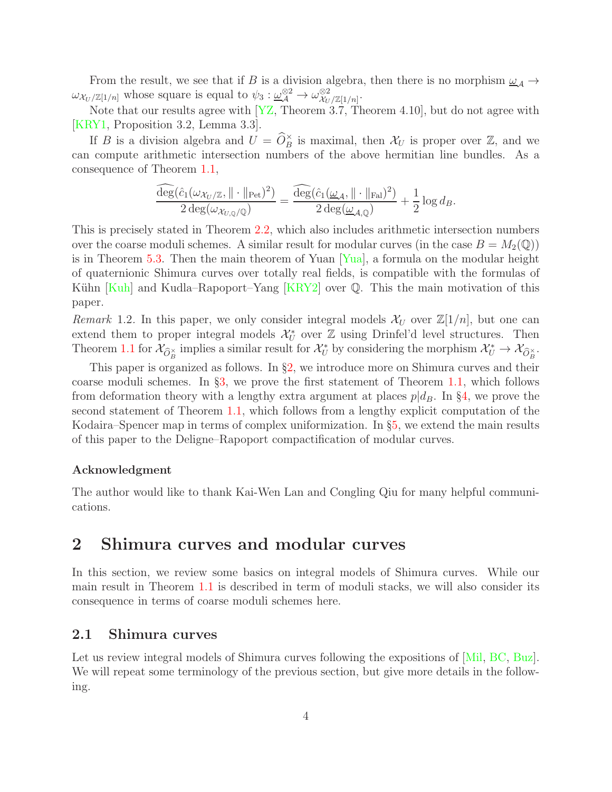From the result, we see that if B is a division algebra, then there is no morphism  $\underline{\omega}_A \rightarrow$  $\omega_{\mathcal{X}_U/\mathbb{Z}[1/n]}$  whose square is equal to  $\psi_3 : \underline{\omega}_\mathcal{A}^{\otimes 2} \to \omega_{\mathcal{X}_U}^{\otimes 2}$  $\frac{\otimes 2}{\mathcal{X}_U/\mathbb{Z}[1/n]}$ .

Note that our results agree with [\[YZ,](#page-29-0) Theorem 3.7, Theorem 4.10], but do not agree with [\[KRY1,](#page-28-0) Proposition 3.2, Lemma 3.3].

If B is a division algebra and  $U = \widehat{O}_B^{\times}$  is maximal, then  $\mathcal{X}_U$  is proper over  $\mathbb{Z}$ , and we can compute arithmetic intersection numbers of the above hermitian line bundles. As a consequence of Theorem [1.1,](#page-2-0)

$$
\frac{\widehat{\deg}(\widehat{c}_1(\omega_{\mathcal{X}_U/\mathbb{Z}}, \|\cdot\|_{\text{Pet}})^2)}{2 \deg(\omega_{\mathcal{X}_{U,\mathbb{Q}}/\mathbb{Q}})} = \frac{\widehat{\deg}(\widehat{c}_1(\underline{\omega}_{\mathcal{A}}, \|\cdot\|_{\text{ Fal}})^2)}{2 \deg(\underline{\omega}_{\mathcal{A},\mathbb{Q}})} + \frac{1}{2} \log d_{B}.
$$

This is precisely stated in Theorem [2.2,](#page-7-0) which also includes arithmetic intersection numbers over the coarse moduli schemes. A similar result for modular curves (in the case  $B = M_2(\mathbb{Q})$ ) is in Theorem [5.3.](#page-27-0) Then the main theorem of Yuan [\[Yua\]](#page-29-1), a formula on the modular height of quaternionic Shimura curves over totally real fields, is compatible with the formulas of Kühn  $Kuh$  and Kudla–Rapoport–Yang  $[KRY2]$  over  $\mathbb Q$ . This the main motivation of this paper.

Remark 1.2. In this paper, we only consider integral models  $\mathcal{X}_U$  over  $\mathbb{Z}[1/n]$ , but one can extend them to proper integral models  $\mathcal{X}_U^*$  over  $\mathbb Z$  using Drinfel'd level structures. Then Theorem [1.1](#page-2-0) for  $\mathcal{X}_{\widehat{O}_B^\times}$  implies a similar result for  $\mathcal{X}_U^*$  by considering the morphism  $\mathcal{X}_U^* \to \mathcal{X}_{\widehat{O}_B^\times}$ .

This paper is organized as follows. In §[2,](#page-3-0) we introduce more on Shimura curves and their coarse moduli schemes. In §[3,](#page-8-0) we prove the first statement of Theorem [1.1,](#page-2-0) which follows from deformation theory with a lengthy extra argument at places  $p|d_B$ . In §[4,](#page-14-0) we prove the second statement of Theorem [1.1,](#page-2-0) which follows from a lengthy explicit computation of the Kodaira–Spencer map in terms of complex uniformization. In §[5,](#page-23-0) we extend the main results of this paper to the Deligne–Rapoport compactification of modular curves.

#### Acknowledgment

The author would like to thank Kai-Wen Lan and Congling Qiu for many helpful communications.

# <span id="page-3-0"></span>2 Shimura curves and modular curves

In this section, we review some basics on integral models of Shimura curves. While our main result in Theorem [1.1](#page-2-0) is described in term of moduli stacks, we will also consider its consequence in terms of coarse moduli schemes here.

#### <span id="page-3-1"></span>2.1 Shimura curves

Let us review integral models of Shimura curves following the expositions of [\[Mil,](#page-28-3) [BC,](#page-28-4) [Buz\]](#page-28-5). We will repeat some terminology of the previous section, but give more details in the following.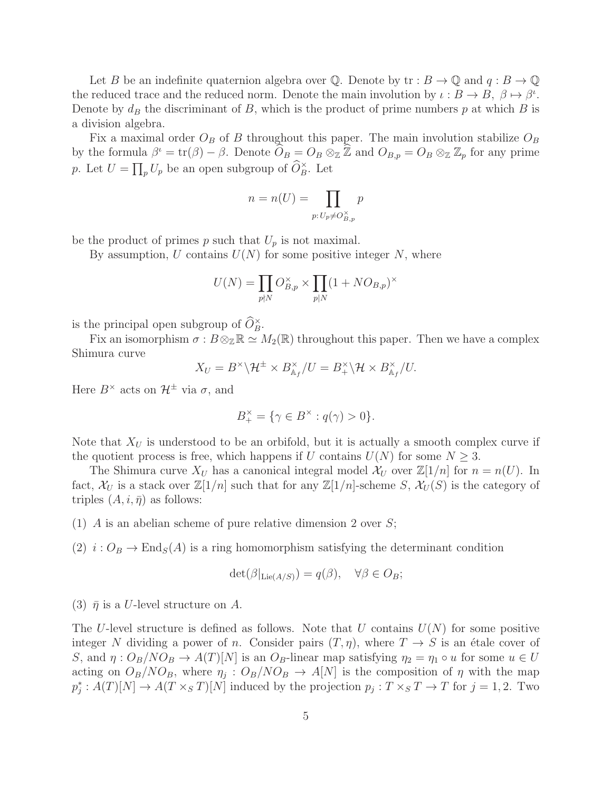Let B be an indefinite quaternion algebra over Q. Denote by  $\text{tr}: B \to \mathbb{Q}$  and  $q: B \to \mathbb{Q}$ the reduced trace and the reduced norm. Denote the main involution by  $\iota : B \to B$ ,  $\beta \mapsto \beta^{\iota}$ . Denote by  $d_B$  the discriminant of B, which is the product of prime numbers p at which B is a division algebra.

Fix a maximal order  $O_B$  of B throughout this paper. The main involution stabilize  $O_B$ by the formula  $\beta^{\iota} = \text{tr}(\beta) - \beta$ . Denote  $\widehat{O}_B = O_B \otimes_{\mathbb{Z}} \widehat{\mathbb{Z}}$  and  $O_{B,p} = O_B \otimes_{\mathbb{Z}} \mathbb{Z}_p$  for any prime p. Let  $U = \prod_p U_p$  be an open subgroup of  $\widehat{O}_B^{\times}$ . Let

$$
n = n(U) = \prod_{p: U_p \neq O_{B,p}^{\times}} p
$$

be the product of primes p such that  $U_p$  is not maximal.

By assumption, U contains  $U(N)$  for some positive integer N, where

$$
U(N) = \prod_{p \nmid N} O_{B,p}^{\times} \times \prod_{p \mid N} (1 + NO_{B,p})^{\times}
$$

is the principal open subgroup of  $\widehat{O}_{B}^{\times}$ .

Fix an isomorphism  $\sigma : B \otimes_{\mathbb{Z}} \mathbb{R} \simeq M_2(\mathbb{R})$  throughout this paper. Then we have a complex Shimura curve

$$
X_U = B^{\times} \backslash \mathcal{H}^{\pm} \times B_{\mathbb{A}_f}^{\times} / U = B^{\times}_{+} \backslash \mathcal{H} \times B^{\times}_{\mathbb{A}_f} / U.
$$

Here  $B^{\times}$  acts on  $\mathcal{H}^{\pm}$  via  $\sigma$ , and

$$
B_+^{\times} = \{ \gamma \in B^{\times} : q(\gamma) > 0 \}.
$$

Note that  $X_U$  is understood to be an orbifold, but it is actually a smooth complex curve if the quotient process is free, which happens if U contains  $U(N)$  for some  $N \geq 3$ .

The Shimura curve  $X_U$  has a canonical integral model  $\mathcal{X}_U$  over  $\mathbb{Z}[1/n]$  for  $n = n(U)$ . In fact,  $\mathcal{X}_U$  is a stack over  $\mathbb{Z}[1/n]$  such that for any  $\mathbb{Z}[1/n]$ -scheme S,  $\mathcal{X}_U(S)$  is the category of triples  $(A, i, \overline{\eta})$  as follows:

(1) A is an abelian scheme of pure relative dimension 2 over  $S$ ;

(2)  $i: O_B \to \text{End}_S(A)$  is a ring homomorphism satisfying the determinant condition

$$
\det(\beta|_{\mathrm{Lie}(A/S)}) = q(\beta), \quad \forall \beta \in O_B;
$$

(3)  $\bar{\eta}$  is a U-level structure on A.

The U-level structure is defined as follows. Note that U contains  $U(N)$  for some positive integer N dividing a power of n. Consider pairs  $(T, \eta)$ , where  $T \to S$  is an étale cover of S, and  $\eta: O_B/NO_B \to A(T)[N]$  is an  $O_B$ -linear map satisfying  $\eta_2 = \eta_1 \circ u$  for some  $u \in U$ acting on  $O_B/NO_B$ , where  $\eta_j$ :  $O_B/NO_B \rightarrow A[N]$  is the composition of  $\eta$  with the map  $p_j^*: A(T)[N] \to A(T \times_S T)[N]$  induced by the projection  $p_j: T \times_S T \to T$  for  $j = 1, 2$ . Two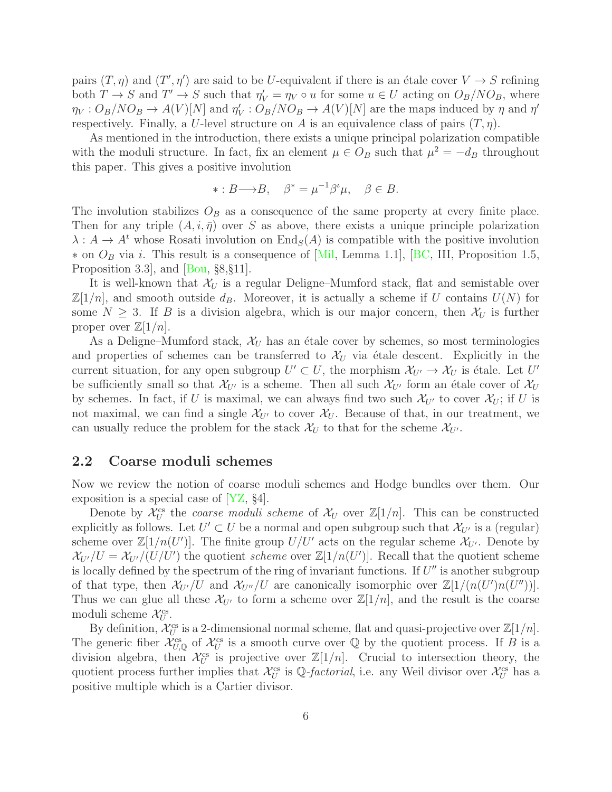pairs  $(T, \eta)$  and  $(T', \eta')$  are said to be U-equivalent if there is an étale cover  $V \to S$  refining both  $T \to S$  and  $T' \to S$  such that  $\eta_V' = \eta_V \circ u$  for some  $u \in U$  acting on  $O_B/NO_B$ , where  $\eta_V: O_B/NO_B \to A(V)[N]$  and  $\eta'_V: O_B/NO_B \to A(V)[N]$  are the maps induced by  $\eta$  and  $\eta'$ respectively. Finally, a U-level structure on A is an equivalence class of pairs  $(T, \eta)$ .

As mentioned in the introduction, there exists a unique principal polarization compatible with the moduli structure. In fact, fix an element  $\mu \in O_B$  such that  $\mu^2 = -d_B$  throughout this paper. This gives a positive involution

$$
*: B \longrightarrow B, \quad \beta^* = \mu^{-1} \beta^t \mu, \quad \beta \in B.
$$

The involution stabilizes  $O_B$  as a consequence of the same property at every finite place. Then for any triple  $(A, i, \bar{\eta})$  over S as above, there exists a unique principle polarization  $\lambda: A \to A^t$  whose Rosati involution on  $\text{End}_S(A)$  is compatible with the positive involution  $*$  on  $O_B$  via i. This result is a consequence of [\[Mil,](#page-28-3) Lemma 1.1], [\[BC,](#page-28-4) III, Proposition 1.5, Proposition 3.3], and [\[Bou,](#page-28-6) §8,§11].

It is well-known that  $\mathcal{X}_U$  is a regular Deligne–Mumford stack, flat and semistable over  $\mathbb{Z}[1/n]$ , and smooth outside  $d_B$ . Moreover, it is actually a scheme if U contains  $U(N)$  for some  $N \geq 3$ . If B is a division algebra, which is our major concern, then  $\mathcal{X}_U$  is further proper over  $\mathbb{Z}[1/n]$ .

As a Deligne–Mumford stack,  $\mathcal{X}_U$  has an étale cover by schemes, so most terminologies and properties of schemes can be transferred to  $\mathcal{X}_U$  via étale descent. Explicitly in the current situation, for any open subgroup  $U' \subset U$ , the morphism  $\mathcal{X}_{U'} \to \mathcal{X}_U$  is étale. Let U' be sufficiently small so that  $\mathcal{X}_{U'}$  is a scheme. Then all such  $\mathcal{X}_{U'}$  form an étale cover of  $\mathcal{X}_{U}$ by schemes. In fact, if U is maximal, we can always find two such  $\mathcal{X}_{U'}$  to cover  $\mathcal{X}_{U}$ ; if U is not maximal, we can find a single  $\mathcal{X}_{U'}$  to cover  $\mathcal{X}_{U}$ . Because of that, in our treatment, we can usually reduce the problem for the stack  $\mathcal{X}_U$  to that for the scheme  $\mathcal{X}_{U'}$ .

#### <span id="page-5-0"></span>2.2 Coarse moduli schemes

Now we review the notion of coarse moduli schemes and Hodge bundles over them. Our exposition is a special case of [\[YZ,](#page-29-0) §4].

Denote by  $\mathcal{X}_U^{\text{cs}}$  the *coarse moduli scheme* of  $\mathcal{X}_U$  over  $\mathbb{Z}[1/n]$ . This can be constructed explicitly as follows. Let  $U' \subset U$  be a normal and open subgroup such that  $\mathcal{X}_{U'}$  is a (regular) scheme over  $\mathbb{Z}[1/n(U')]$ . The finite group  $U/U'$  acts on the regular scheme  $\mathcal{X}_{U'}$ . Denote by  $\chi_{U'}/U = \chi_{U'}/(U/U')$  the quotient scheme over  $\mathbb{Z}[1/n(U')]$ . Recall that the quotient scheme is locally defined by the spectrum of the ring of invariant functions. If  $U''$  is another subgroup of that type, then  $\mathcal{X}_{U'}/U$  and  $\mathcal{X}_{U''}/U$  are canonically isomorphic over  $\mathbb{Z}[1/(n(U')n(U''))]$ . Thus we can glue all these  $\mathcal{X}_{U'}$  to form a scheme over  $\mathbb{Z}[1/n]$ , and the result is the coarse moduli scheme  $\mathcal{X}_U^{\text{cs}}$ .

By definition,  $\mathcal{X}_U^{\text{cs}}$  is a 2-dimensional normal scheme, flat and quasi-projective over  $\mathbb{Z}[1/n]$ . The generic fiber  $\mathcal{X}_{U,\mathbb{Q}}^{cs}$  of  $\mathcal{X}_{U}^{cs}$  is a smooth curve over  $\mathbb{Q}$  by the quotient process. If B is a division algebra, then  $\mathcal{X}_U^{\text{cs}}$  is projective over  $\mathbb{Z}[1/n]$ . Crucial to intersection theory, the quotient process further implies that  $\mathcal{X}_U^{\text{cs}}$  is  $\mathbb{Q}$ -factorial, i.e. any Weil divisor over  $\mathcal{X}_U^{\text{cs}}$  has a positive multiple which is a Cartier divisor.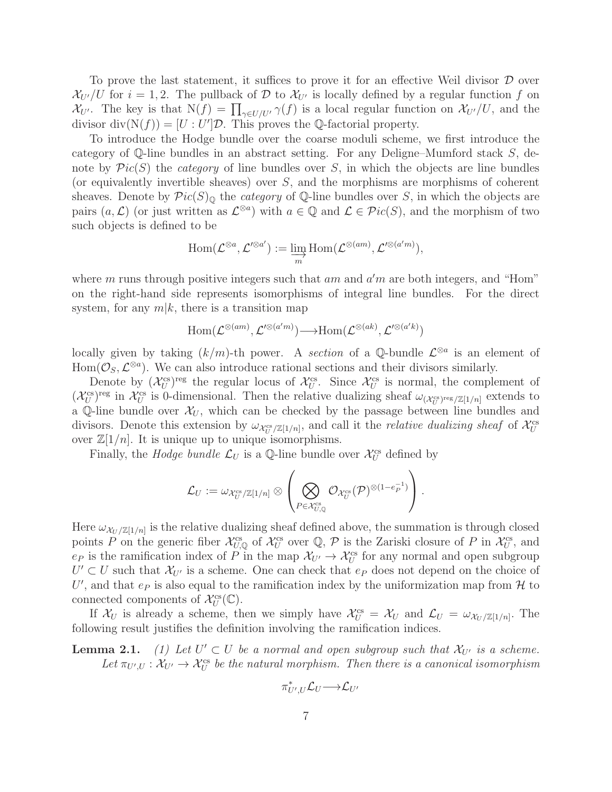To prove the last statement, it suffices to prove it for an effective Weil divisor  $\mathcal D$  over  $\mathcal{X}_{U'}/U$  for  $i = 1, 2$ . The pullback of D to  $\mathcal{X}_{U'}$  is locally defined by a regular function f on  $\mathcal{X}_{U'}$ . The key is that  $N(f) = \prod_{\gamma \in U/U'} \gamma(f)$  is a local regular function on  $\mathcal{X}_{U'}/U$ , and the divisor  $\text{div}(\mathcal{N}(f)) = [U:U']\mathcal{D}$ . This proves the Q-factorial property.

To introduce the Hodge bundle over the coarse moduli scheme, we first introduce the category of Q-line bundles in an abstract setting. For any Deligne–Mumford stack S, denote by  $Pic(S)$  the *category* of line bundles over S, in which the objects are line bundles (or equivalently invertible sheaves) over S, and the morphisms are morphisms of coherent sheaves. Denote by  $Pic(S)_{\mathbb{Q}}$  the *category* of  $\mathbb{Q}$ -line bundles over S, in which the objects are pairs  $(a, \mathcal{L})$  (or just written as  $\mathcal{L}^{\otimes a}$ ) with  $a \in \mathbb{Q}$  and  $\mathcal{L} \in \mathcal{P}ic(S)$ , and the morphism of two such objects is defined to be

$$
\operatorname{Hom}(\mathcal{L}^{\otimes a},\mathcal{L}'^{\otimes a'}) := \varinjlim_m \operatorname{Hom}(\mathcal{L}^{\otimes(am)},\mathcal{L}'^{\otimes(a'm)}),
$$

where  $m$  runs through positive integers such that  $am$  and  $a'm$  are both integers, and "Hom" on the right-hand side represents isomorphisms of integral line bundles. For the direct system, for any  $m|k$ , there is a transition map

$$
\mathrm{Hom}(\mathcal{L}^{\otimes (am)},\mathcal{L}'^{\otimes (a'm)}){\longrightarrow} \mathrm{Hom}(\mathcal{L}^{\otimes (ak)},\mathcal{L}'^{\otimes (a'k)})
$$

locally given by taking  $(k/m)$ -th power. A section of a Q-bundle  $\mathcal{L}^{\otimes a}$  is an element of Hom $(\mathcal{O}_S, \mathcal{L}^{\otimes a})$ . We can also introduce rational sections and their divisors similarly.

Denote by  $(\mathcal{X}_U^{\text{cs}})^{\text{reg}}$  the regular locus of  $\mathcal{X}_U^{\text{cs}}$ . Since  $\mathcal{X}_U^{\text{cs}}$  is normal, the complement of  $({\mathcal{X}}_U^{\text{cs}})^{\text{reg}}$  in  ${\mathcal{X}}_U^{\text{cs}}$  is 0-dimensional. Then the relative dualizing sheaf  $\omega_{({\mathcal{X}}_U^{\text{cs}})^{\text{reg}}/{\mathbb{Z}}[1/n]}$  extends to a Q-line bundle over  $\mathcal{X}_U$ , which can be checked by the passage between line bundles and divisors. Denote this extension by  $\omega_{\mathcal{X}_U^{cs}/\mathbb{Z}[1/n]}$ , and call it the *relative dualizing sheaf* of  $\mathcal{X}_U^{cs}$ over  $\mathbb{Z}[1/n]$ . It is unique up to unique isomorphisms.

Finally, the *Hodge bundle*  $\mathcal{L}_U$  is a Q-line bundle over  $\mathcal{X}_U^{\text{cs}}$  defined by

$$
\mathcal{L}_U:=\omega_{\mathcal{X}_U^{\text{cs}}/\mathbb{Z}[1/n]}\otimes \left(\bigotimes_{P\in \mathcal{X}_{U,{\mathbb Q}}^{\text{cs}}} \mathcal{O}_{\mathcal{X}_U^{\text{cs}}}(\mathcal{P})^{\otimes (1-e_P^{-1})}\right).
$$

Here  $\omega_{\mathcal{X}_U/\mathbb{Z}[1/n]}$  is the relative dualizing sheaf defined above, the summation is through closed points P on the generic fiber  $\mathcal{X}_{U,\mathbb{Q}}^{\text{cs}}$  of  $\mathcal{X}_{U}^{\text{cs}}$  over  $\mathbb{Q}, \mathcal{P}$  is the Zariski closure of P in  $\mathcal{X}_{U}^{\text{cs}}$ , and  $e_P$  is the ramification index of P in the map  $\mathcal{X}_{U'} \to \mathcal{X}_{U}^{cs}$  for any normal and open subgroup  $U' \subset U$  such that  $\mathcal{X}_{U'}$  is a scheme. One can check that  $e_P$  does not depend on the choice of U', and that  $e_P$  is also equal to the ramification index by the uniformization map from  $H$  to connected components of  $\mathcal{X}_U^{\text{cs}}(\mathbb{C})$ .

If  $\mathcal{X}_U$  is already a scheme, then we simply have  $\mathcal{X}_U^{\text{cs}} = \mathcal{X}_U$  and  $\mathcal{L}_U = \omega_{\mathcal{X}_U/\mathbb{Z}[1/n]}$ . The following result justifies the definition involving the ramification indices.

**Lemma 2.1.** (1) Let  $U' \subset U$  be a normal and open subgroup such that  $\mathcal{X}_{U'}$  is a scheme. Let  $\pi_{U',U}: \mathcal{X}_{U'} \to \mathcal{X}_{U}^{cs}$  be the natural morphism. Then there is a canonical isomorphism

$$
\pi^*_{U',U}\mathcal{L}_U {\longrightarrow} \mathcal{L}_{U'}
$$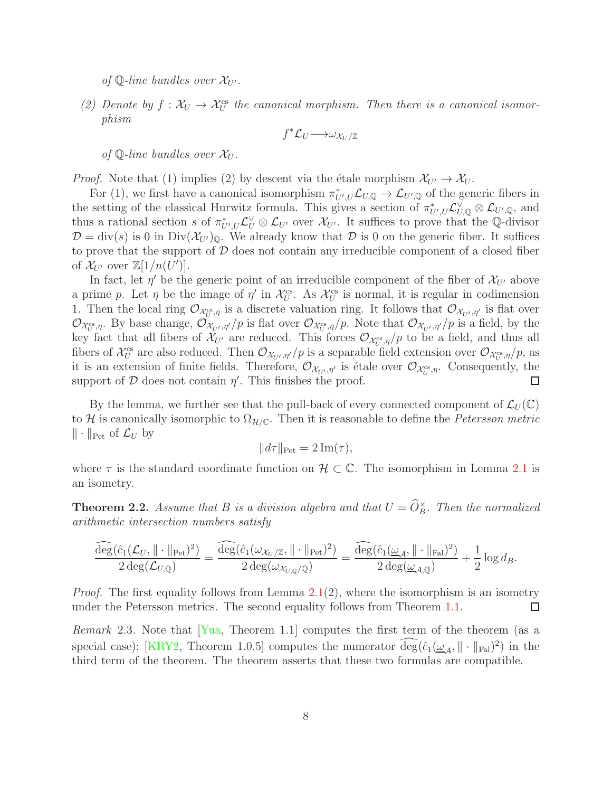of Q-line bundles over  $\mathcal{X}_{U'}$ .

(2) Denote by  $f: \mathcal{X}_U \to \mathcal{X}_U^{\text{cs}}$  the canonical morphism. Then there is a canonical isomorphism

$$
f^* \mathcal{L}_U \longrightarrow \omega_{\mathcal{X}_U/\mathbb{Z}}
$$

of  $\mathbb{Q}$ -line bundles over  $\mathcal{X}_{U}$ .

*Proof.* Note that (1) implies (2) by descent via the étale morphism  $\mathcal{X}_{U'} \to \mathcal{X}_{U}$ .

For (1), we first have a canonical isomorphism  $\pi^*_{U',U}$   $\mathcal{L}_{U,\mathbb{Q}} \to \mathcal{L}_{U',\mathbb{Q}}$  of the generic fibers in the setting of the classical Hurwitz formula. This gives a section of  $\pi^*_{U',U} \mathcal{L}_{U,\mathbb{Q}}^{\vee} \otimes \mathcal{L}_{U',\mathbb{Q}}$ , and thus a rational section s of  $\pi^*_{U',U} \mathcal{L}_U^{\vee} \otimes \mathcal{L}_{U'}$  over  $\mathcal{X}_{U'}$ . It suffices to prove that the Q-divisor  $\mathcal{D} = \text{div}(s)$  is 0 in  $\text{Div}(\mathcal{X}_{U'})_0$ . We already know that  $\mathcal D$  is 0 on the generic fiber. It suffices to prove that the support of  $D$  does not contain any irreducible component of a closed fiber of  $\mathcal{X}_{U'}$  over  $\mathbb{Z}[1/n(U')].$ 

In fact, let  $\eta'$  be the generic point of an irreducible component of the fiber of  $\mathcal{X}_{U'}$  above a prime p. Let  $\eta$  be the image of  $\eta'$  in  $\mathcal{X}_U^{\text{cs}}$ . As  $\mathcal{X}_U^{\text{cs}}$  is normal, it is regular in codimension 1. Then the local ring  $\mathcal{O}_{\mathcal{X}_{U}^{cs},\eta}$  is a discrete valuation ring. It follows that  $\mathcal{O}_{\mathcal{X}_{U'},\eta'}$  is flat over  $\mathcal{O}_{\mathcal{X}_{U}^{cs},\eta}$ . By base change,  $\mathcal{O}_{\mathcal{X}_{U'},\eta'}/p$  is flat over  $\mathcal{O}_{\mathcal{X}_{U}^{cs},\eta}/p$ . Note that  $\mathcal{O}_{\mathcal{X}_{U'},\eta'}/p$  is a field, by the key fact that all fibers of  $\mathcal{X}_{U'}$  are reduced. This forces  $\mathcal{O}_{\mathcal{X}_{U}^{cs},\eta}/p$  to be a field, and thus all fibers of  $\mathcal{X}_U^{\text{cs}}$  are also reduced. Then  $\mathcal{O}_{\mathcal{X}_{U'},\eta'}/p$  is a separable field extension over  $\mathcal{O}_{\mathcal{X}_{U'}^{cs},\eta}/p$ , as it is an extension of finite fields. Therefore,  $\mathcal{O}_{\mathcal{X}_{U'},\eta'}$  is étale over  $\mathcal{O}_{\mathcal{X}_{U}^{cs},\eta}$ . Consequently, the support of  $D$  does not contain  $\eta'$ . This finishes the proof.  $\Box$ 

By the lemma, we further see that the pull-back of every connected component of  $\mathcal{L}_U(\mathbb{C})$ to H is canonically isomorphic to  $\Omega_{H/\mathbb{C}}$ . Then it is reasonable to define the *Petersson metric*  $\|\cdot\|_{\text{Pet}}$  of  $\mathcal{L}_U$  by

$$
||d\tau||_{\text{Pet}} = 2 \operatorname{Im}(\tau),
$$

where  $\tau$  is the standard coordinate function on  $\mathcal{H} \subset \mathbb{C}$ . The isomorphism in Lemma 2.1 is an isometry.

<span id="page-7-0"></span>**Theorem 2.2.** Assume that B is a division algebra and that  $U = \widehat{O}_B^{\times}$ . Then the normalized arithmetic intersection numbers satisfy

$$
\frac{\widehat{\deg}(\hat{c}_1(\mathcal{L}_U, \|\cdot\|_{\text{Pet}})^2)}{2\deg(\mathcal{L}_{U,\mathbb{Q}})} = \frac{\widehat{\deg}(\hat{c}_1(\omega_{\mathcal{X}_U/\mathbb{Z}}, \|\cdot\|_{\text{Pet}})^2)}{2\deg(\omega_{\mathcal{X}_{U,\mathbb{Q}}/\mathbb{Q}})} = \frac{\widehat{\deg}(\hat{c}_1(\underline{\omega}_{\mathcal{A}}, \|\cdot\|_{\text{ Fal}})^2)}{2\deg(\underline{\omega}_{\mathcal{A},\mathbb{Q}})} + \frac{1}{2}\log d_B.
$$

*Proof.* The first equality follows from Lemma  $2.1(2)$ , where the isomorphism is an isometry under the Petersson metrics. The second equality follows from Theorem [1.1.](#page-2-0)  $\Box$ 

*Remark* 2.3. Note that  $Y_{\text{ua}}$ , Theorem 1.1 computes the first term of the theorem (as a special case); [\[KRY2,](#page-28-2) Theorem 1.0.5] computes the numerator  $\deg(\hat{c}_1(\underline{\omega}_{\mathcal{A}}, \|\cdot\|_{\text{Fal}})^2)$  in the third term of the theorem. The theorem asserts that these two formulas are compatible.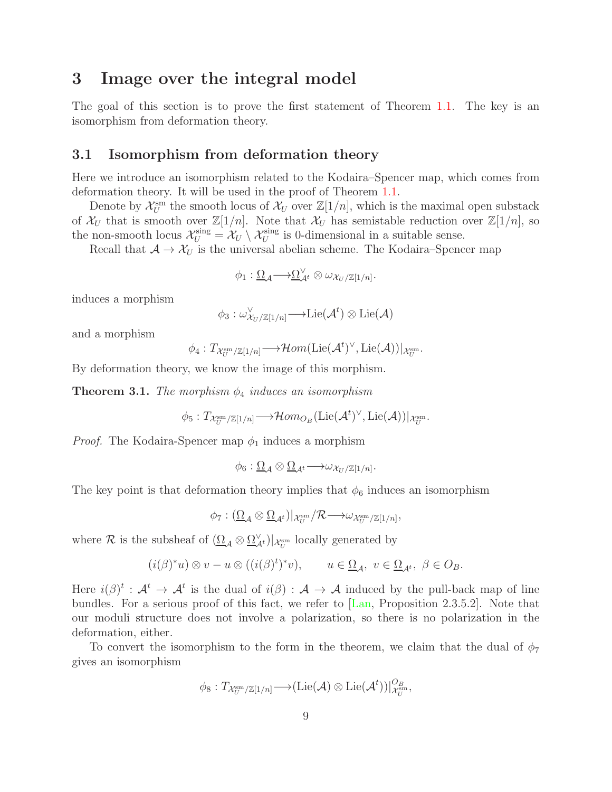## <span id="page-8-0"></span>3 Image over the integral model

The goal of this section is to prove the first statement of Theorem [1.1.](#page-2-0) The key is an isomorphism from deformation theory.

#### <span id="page-8-1"></span>3.1 Isomorphism from deformation theory

Here we introduce an isomorphism related to the Kodaira–Spencer map, which comes from deformation theory. It will be used in the proof of Theorem [1.1.](#page-2-0)

Denote by  $\mathcal{X}_U^{\text{sm}}$  the smooth locus of  $\mathcal{X}_U$  over  $\mathbb{Z}[1/n]$ , which is the maximal open substack of  $\mathcal{X}_U$  that is smooth over  $\mathbb{Z}[1/n]$ . Note that  $\mathcal{X}_U$  has semistable reduction over  $\mathbb{Z}[1/n]$ , so the non-smooth locus  $\mathcal{X}_U^{\text{sing}} = \mathcal{X}_U \setminus \mathcal{X}_U^{\text{sing}}$  is 0-dimensional in a suitable sense.

Recall that  $A \to X_U$  is the universal abelian scheme. The Kodaira–Spencer map

$$
\phi_1: \underline{\Omega}_{\mathcal{A}} \longrightarrow \underline{\Omega}_{\mathcal{A}^t}^{\vee} \otimes \omega_{\mathcal{X}_U/\mathbb{Z}[1/n]}.
$$

induces a morphism

$$
\phi_3 : \omega^\vee_{\mathcal{X}_U/\mathbb{Z}[1/n]} \longrightarrow \mathrm{Lie}(\mathcal{A}^t) \otimes \mathrm{Lie}(\mathcal{A})
$$

and a morphism

$$
\phi_4: T_{\mathcal{X}_U^{\text{sm}}/\mathbb{Z}[1/n]} \longrightarrow \mathcal{H}om(\text{Lie}(\mathcal{A}^t)^\vee, \text{Lie}(\mathcal{A}))|_{\mathcal{X}_U^{\text{sm}}}.
$$

By deformation theory, we know the image of this morphism.

<span id="page-8-2"></span>**Theorem 3.1.** The morphism  $\phi_4$  induces an isomorphism

$$
\phi_5: T_{\mathcal{X}_U^{\text{sm}}/\mathbb{Z}[1/n]} \longrightarrow \mathcal{H}om_{O_B}(\mathrm{Lie}(\mathcal{A}^t)^\vee, \mathrm{Lie}(\mathcal{A}))|_{\mathcal{X}_U^{\text{sm}}}.
$$

*Proof.* The Kodaira-Spencer map  $\phi_1$  induces a morphism

$$
\phi_6: \underline{\Omega}_{\mathcal{A}} \otimes \underline{\Omega}_{\mathcal{A}^t} \longrightarrow \omega_{\mathcal{X}_U/\mathbb{Z}[1/n]}.
$$

The key point is that deformation theory implies that  $\phi_6$  induces an isomorphism

$$
\phi_7: (\underline{\Omega}_{\mathcal{A}} \otimes \underline{\Omega}_{\mathcal{A}^t})|_{\mathcal{X}_U^{\text{sm}}} / \mathcal{R} \longrightarrow \omega_{\mathcal{X}_U^{\text{sm}} / \mathbb{Z}[1/n]},
$$

where  $\mathcal R$  is the subsheaf of  $(\underline{\Omega}_{\mathcal A}\otimes \underline{\Omega}_{\mathcal A^t}^\vee)|_{\mathcal X^{\text{sm}}_U}$  locally generated by

$$
(i(\beta)^*u)\otimes v - u\otimes ((i(\beta)^t)^*v), \qquad u\in \underline{\Omega}_{\mathcal{A}}, \ v\in \underline{\Omega}_{\mathcal{A}^t}, \ \beta\in O_B.
$$

Here  $i(\beta)^t : A^t \to A^t$  is the dual of  $i(\beta) : A \to A$  induced by the pull-back map of line bundles. For a serious proof of this fact, we refer to [\[Lan,](#page-28-7) Proposition 2.3.5.2]. Note that our moduli structure does not involve a polarization, so there is no polarization in the deformation, either.

To convert the isomorphism to the form in the theorem, we claim that the dual of  $\phi_7$ gives an isomorphism

$$
\phi_8: T_{\mathcal{X}_U^{\text{sm}}/\mathbb{Z}[1/n]} \longrightarrow (\text{Lie}(\mathcal{A}) \otimes \text{Lie}(\mathcal{A}^t))|_{\mathcal{X}_U^{\text{sm}}}^{O_{\mathcal{B}}},
$$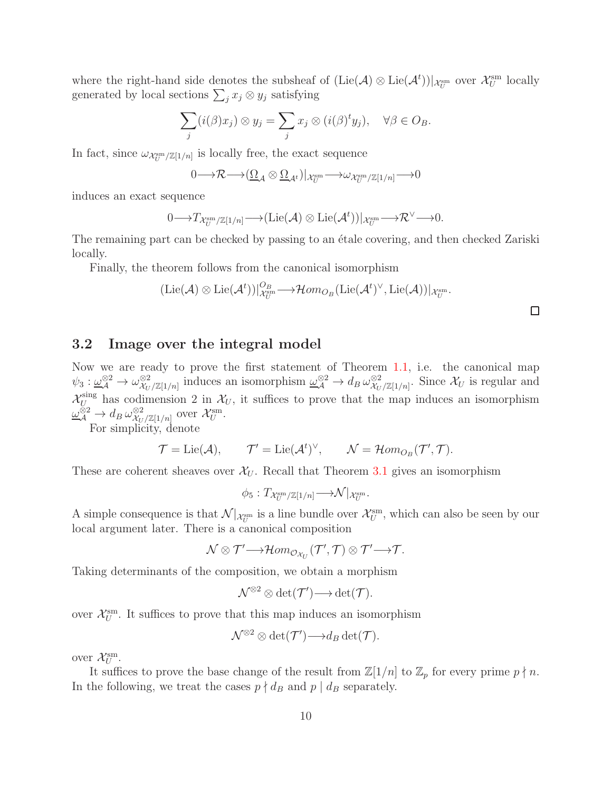where the right-hand side denotes the subsheaf of  $(\text{Lie}(\mathcal{A}) \otimes \text{Lie}(\mathcal{A}^t))|_{\mathcal{X}_U^{\text{sm}}}$  over  $\mathcal{X}_U^{\text{sm}}$  locally generated by local sections  $\sum_j x_j \otimes y_j$  satisfying

$$
\sum_j (i(\beta)x_j) \otimes y_j = \sum_j x_j \otimes (i(\beta)^t y_j), \quad \forall \beta \in O_B.
$$

In fact, since  $\omega_{\mathcal{X}_U^{\text{sm}}/\mathbb{Z}[1/n]}$  is locally free, the exact sequence

$$
0 \longrightarrow \mathcal{R} \longrightarrow (\underline{\Omega}_{\mathcal{A}} \otimes \underline{\Omega}_{\mathcal{A}^t})|_{\mathcal{X}_U^{\text{sm}}} \longrightarrow \omega_{\mathcal{X}_U^{\text{sm}}/\mathbb{Z}[1/n]} \longrightarrow 0
$$

induces an exact sequence

$$
0 \longrightarrow T_{\mathcal{X}_U^{\text{sm}}/\mathbb{Z}[1/n]} \longrightarrow (\text{Lie}(\mathcal{A}) \otimes \text{Lie}(\mathcal{A}^t))|_{\mathcal{X}_U^{\text{sm}}} \longrightarrow \mathcal{R}^{\vee} \longrightarrow 0.
$$

The remaining part can be checked by passing to an étale covering, and then checked Zariski locally.

Finally, the theorem follows from the canonical isomorphism

$$
(\mathrm{Lie}(\mathcal{A})\otimes \mathrm{Lie}(\mathcal{A}^t))|_{\mathcal{X}_U^{\mathrm{sm}}}^{\mathcal{O}_B}\longrightarrow \mathcal{H}om_{\mathcal{O}_B}(\mathrm{Lie}(\mathcal{A}^t)^\vee,\mathrm{Lie}(\mathcal{A}))|_{\mathcal{X}_U^{\mathrm{sm}}}.
$$

#### <span id="page-9-0"></span>3.2 Image over the integral model

Now we are ready to prove the first statement of Theorem [1.1,](#page-2-0) i.e. the canonical map  $\psi_3: \underline{\omega}_\mathcal{A}^{\otimes 2} \to \omega_{\mathcal{X}_U}^{\otimes 2}$  $\frac{\otimes 2}{\mathcal{X}_U/\mathbb{Z}[1/n]}$  induces an isomorphism  $\underline{\omega}_{\mathcal{A}}^{\otimes 2} \to d_B \omega_{\mathcal{X}_U}^{\otimes 2}$  $\frac{\otimes 2}{\mathcal{X}_U/\mathbb{Z}[1/n]}$ . Since  $\mathcal{X}_U$  is regular and  $\mathcal{X}_{U}^{\text{sing}}$  has codimension 2 in  $\mathcal{X}_{U}$ , it suffices to prove that the map induces an isomorphism  $\omega_{\mathcal{A}}^{\otimes 2} \rightarrow d_B \, \omega_{\mathcal{X}_U}^{\otimes 2}$  $\frac{\otimes 2}{\mathcal{X}_U/\mathbb{Z}[1/n]}$  over  $\mathcal{X}^{\text{sm}}_U$ .

For simplicity, denote

$$
\mathcal{T} = \text{Lie}(\mathcal{A}), \qquad \mathcal{T}' = \text{Lie}(\mathcal{A}^t)^{\vee}, \qquad \mathcal{N} = \mathcal{H}om_{O_B}(\mathcal{T}', \mathcal{T}).
$$

These are coherent sheaves over  $\mathcal{X}_U$ . Recall that Theorem [3.1](#page-8-2) gives an isomorphism

$$
\phi_5: T_{\mathcal{X}_U^{\text{sm}}/\mathbb{Z}[1/n]} \longrightarrow \mathcal{N}|_{\mathcal{X}_U^{\text{sm}}}.
$$

A simple consequence is that  $\mathcal{N}|_{\mathcal{X}_U^{\text{sm}}}$  is a line bundle over  $\mathcal{X}_U^{\text{sm}}$ , which can also be seen by our local argument later. There is a canonical composition

$$
\mathcal{N}\otimes \mathcal{T}' {\longrightarrow} \mathcal{H}om_{\mathcal{O}_{\mathcal{X}_U}}(\mathcal{T}',\mathcal{T})\otimes \mathcal{T}' {\longrightarrow} \mathcal{T}.
$$

Taking determinants of the composition, we obtain a morphism

$$
\mathcal{N}^{\otimes 2} \otimes \det(\mathcal{T}') {\longrightarrow} \det(\mathcal{T}).
$$

over  $\mathcal{X}_U^{\text{sm}}$ . It suffices to prove that this map induces an isomorphism

$$
\mathcal{N}^{\otimes 2} \otimes \det(\mathcal{T}') \longrightarrow d_B \det(\mathcal{T}).
$$

over  $\mathcal{X}_U^{\text{sm}}$ .

It suffices to prove the base change of the result from  $\mathbb{Z}[1/n]$  to  $\mathbb{Z}_p$  for every prime  $p \nmid n$ . In the following, we treat the cases  $p \nmid d_B$  and  $p \mid d_B$  separately.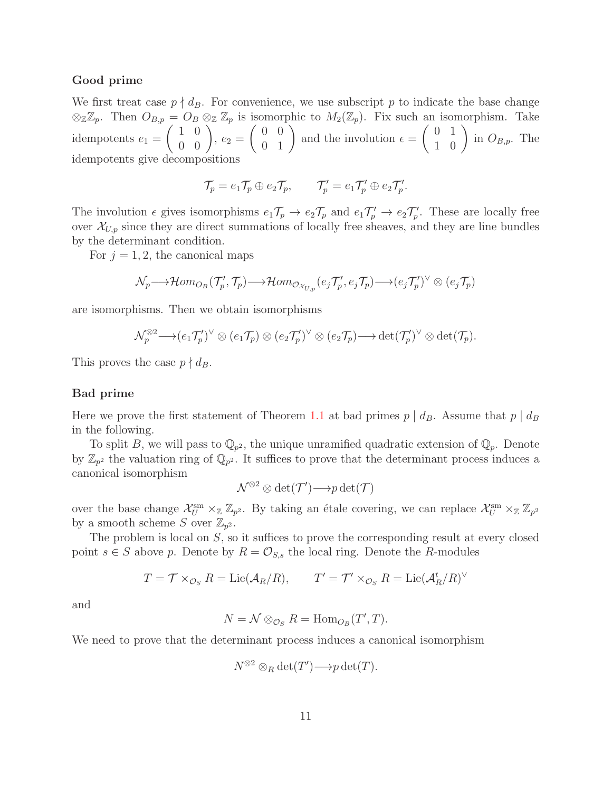#### Good prime

We first treat case  $p \nmid d_B$ . For convenience, we use subscript p to indicate the base change  $\otimes_{\mathbb{Z}}\mathbb{Z}_p$ . Then  $O_{B,p} = O_B \otimes_{\mathbb{Z}} \mathbb{Z}_p$  is isomorphic to  $M_2(\mathbb{Z}_p)$ . Fix such an isomorphism. Take idempotents  $e_1 =$  $\left(\begin{array}{cc} 1 & 0 \\ 0 & 0 \end{array}\right)$ ,  $e_2 =$  $\left(\begin{array}{cc} 0 & 0 \\ 0 & 1 \end{array}\right)$  and the involution  $\epsilon =$  $\left(\begin{array}{cc} 0 & 1 \\ 1 & 0 \end{array}\right)$  in  $O_{B,p}$ . The idempotents give decompositions

$$
\mathcal{T}_p = e_1 \mathcal{T}_p \oplus e_2 \mathcal{T}_p, \qquad \mathcal{T}'_p = e_1 \mathcal{T}'_p \oplus e_2 \mathcal{T}'_p.
$$

The involution  $\epsilon$  gives isomorphisms  $e_1 \mathcal{T}_p \to e_2 \mathcal{T}_p$  and  $e_1 \mathcal{T}'_p \to e_2 \mathcal{T}'_p$ . These are locally free over  $\mathcal{X}_{U,p}$  since they are direct summations of locally free sheaves, and they are line bundles by the determinant condition.

For  $j = 1, 2$ , the canonical maps

$$
\mathcal{N}_p \longrightarrow \mathcal{H}om_{O_B}(\mathcal{T}'_p, \mathcal{T}_p) \longrightarrow \mathcal{H}om_{\mathcal{O}_{\mathcal{X}_{U,p}}}(e_j\mathcal{T}'_p, e_j\mathcal{T}_p) \longrightarrow (e_j\mathcal{T}'_p)^{\vee} \otimes (e_j\mathcal{T}_p)
$$

are isomorphisms. Then we obtain isomorphisms

$$
\mathcal{N}_p^{\otimes 2} \longrightarrow \left(e_1 \mathcal{T}'_p\right)^{\vee} \otimes \left(e_1 \mathcal{T}_p\right) \otimes \left(e_2 \mathcal{T}'_p\right)^{\vee} \otimes \left(e_2 \mathcal{T}_p\right) \longrightarrow \det(\mathcal{T}'_p)^{\vee} \otimes \det(\mathcal{T}_p).
$$

This proves the case  $p \nmid d_B$ .

#### Bad prime

Here we prove the first statement of Theorem [1.1](#page-2-0) at bad primes  $p \mid d_B$ . Assume that  $p \mid d_B$ in the following.

To split B, we will pass to  $\mathbb{Q}_{p^2}$ , the unique unramified quadratic extension of  $\mathbb{Q}_p$ . Denote by  $\mathbb{Z}_{p^2}$  the valuation ring of  $\mathbb{Q}_{p^2}$ . It suffices to prove that the determinant process induces a canonical isomorphism

$$
\mathcal{N}^{\otimes 2} \otimes \det(\mathcal{T}') \longrightarrow p \det(\mathcal{T})
$$

over the base change  $\mathcal{X}_U^{\text{sm}} \times_{\mathbb{Z}} \mathbb{Z}_{p^2}$ . By taking an étale covering, we can replace  $\mathcal{X}_U^{\text{sm}} \times_{\mathbb{Z}} \mathbb{Z}_{p^2}$ by a smooth scheme S over  $\mathbb{Z}_{p^2}$ .

The problem is local on S, so it suffices to prove the corresponding result at every closed point  $s \in S$  above p. Denote by  $R = \mathcal{O}_{S,s}$  the local ring. Denote the R-modules

$$
T = \mathcal{T} \times_{\mathcal{O}_S} R = \text{Lie}(\mathcal{A}_R/R), \qquad T' = \mathcal{T}' \times_{\mathcal{O}_S} R = \text{Lie}(\mathcal{A}_R^t/R)^\vee
$$

and

$$
N = \mathcal{N} \otimes_{\mathcal{O}_S} R = \text{Hom}_{O_B}(T', T).
$$

We need to prove that the determinant process induces a canonical isomorphism

$$
N^{\otimes 2}\otimes_R \det(T') \longrightarrow p \det(T).
$$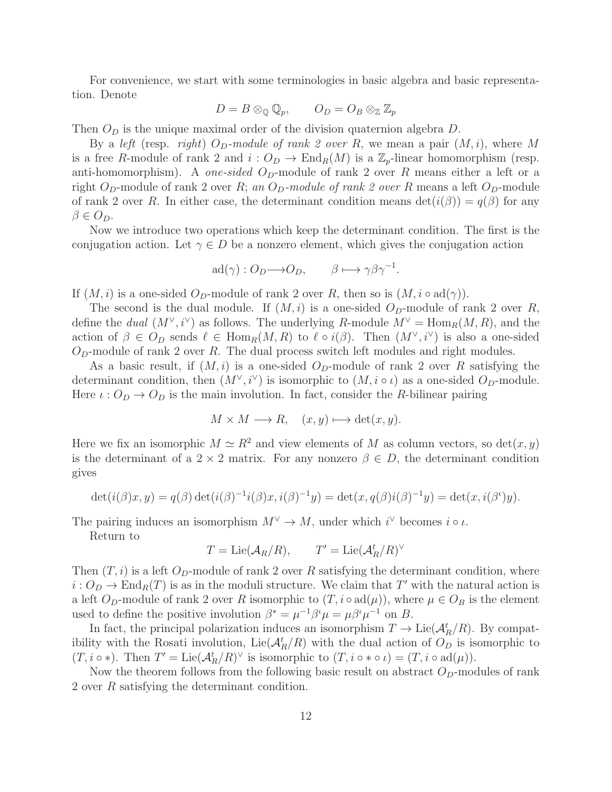For convenience, we start with some terminologies in basic algebra and basic representation. Denote

$$
D = B \otimes_{\mathbb{Q}} \mathbb{Q}_p, \qquad O_D = O_B \otimes_{\mathbb{Z}} \mathbb{Z}_p
$$

Then  $O<sub>D</sub>$  is the unique maximal order of the division quaternion algebra  $D$ .

By a left (resp. right)  $O_D$ -module of rank 2 over R, we mean a pair  $(M, i)$ , where M is a free R-module of rank 2 and  $i: O_D \to \text{End}_R(M)$  is a  $\mathbb{Z}_p$ -linear homomorphism (resp. anti-homomorphism). A *one-sided*  $O_p$ -module of rank 2 over R means either a left or a right O<sub>D</sub>-module of rank 2 over R; an O<sub>D</sub>-module of rank 2 over R means a left O<sub>D</sub>-module of rank 2 over R. In either case, the determinant condition means  $\det(i(\beta)) = q(\beta)$  for any  $\beta \in O_D$ .

Now we introduce two operations which keep the determinant condition. The first is the conjugation action. Let  $\gamma \in D$  be a nonzero element, which gives the conjugation action

$$
ad(\gamma) : O_D \longrightarrow O_D, \qquad \beta \longmapsto \gamma \beta \gamma^{-1}.
$$

If  $(M, i)$  is a one-sided  $O_p$ -module of rank 2 over R, then so is  $(M, i \circ \text{ad}(\gamma))$ .

The second is the dual module. If  $(M, i)$  is a one-sided  $O_p$ -module of rank 2 over R, define the *dual*  $(M^{\vee}, i^{\vee})$  as follows. The underlying R-module  $M^{\vee} = \text{Hom}_{R}(M, R)$ , and the action of  $\beta \in O_D$  sends  $\ell \in \text{Hom}_R(M, R)$  to  $\ell \circ i(\beta)$ . Then  $(M^{\vee}, i^{\vee})$  is also a one-sided  $O<sub>D</sub>$ -module of rank 2 over R. The dual process switch left modules and right modules.

As a basic result, if  $(M, i)$  is a one-sided  $O_p$ -module of rank 2 over R satisfying the determinant condition, then  $(M^{\vee}, i^{\vee})$  is isomorphic to  $(M, i \circ \iota)$  as a one-sided  $O_D$ -module. Here  $\iota: O_D \to O_D$  is the main involution. In fact, consider the R-bilinear pairing

$$
M \times M \longrightarrow R, \quad (x, y) \longmapsto \det(x, y).
$$

Here we fix an isomorphic  $M \simeq R^2$  and view elements of M as column vectors, so det $(x, y)$ is the determinant of a 2 × 2 matrix. For any nonzero  $\beta \in D$ , the determinant condition gives

$$
\det(i(\beta)x, y) = q(\beta) \det(i(\beta)^{-1}i(\beta)x, i(\beta)^{-1}y) = \det(x, q(\beta)i(\beta)^{-1}y) = \det(x, i(\beta^t)y).
$$

The pairing induces an isomorphism  $M^{\vee} \to M$ , under which  $i^{\vee}$  becomes  $i \circ \iota$ .

Return to

$$
T = \text{Lie}(\mathcal{A}_R/R), \qquad T' = \text{Lie}(\mathcal{A}_R^t/R)^\vee
$$

Then  $(T, i)$  is a left  $O_D$ -module of rank 2 over R satisfying the determinant condition, where  $i: O_D \to \text{End}_R(T)$  is as in the moduli structure. We claim that T' with the natural action is a left  $O_p$ -module of rank 2 over R isomorphic to  $(T, i \circ ad(\mu))$ , where  $\mu \in O_B$  is the element used to define the positive involution  $\beta^* = \mu^{-1} \beta^i \mu = \mu \beta^i \mu^{-1}$  on B.

In fact, the principal polarization induces an isomorphism  $T \to \text{Lie}(\mathcal{A}^t_R/R)$ . By compatibility with the Rosati involution,  $Lie(\mathcal{A}^t_R/R)$  with the dual action of  $O_D$  is isomorphic to  $(T, i \circ *)$ . Then  $T' = \text{Lie}(\mathcal{A}^t_R/R)^\vee$  is isomorphic to  $(T, i \circ * \circ \iota) = (T, i \circ \text{ad}(\mu))$ .

Now the theorem follows from the following basic result on abstract  $O_D$ -modules of rank 2 over R satisfying the determinant condition.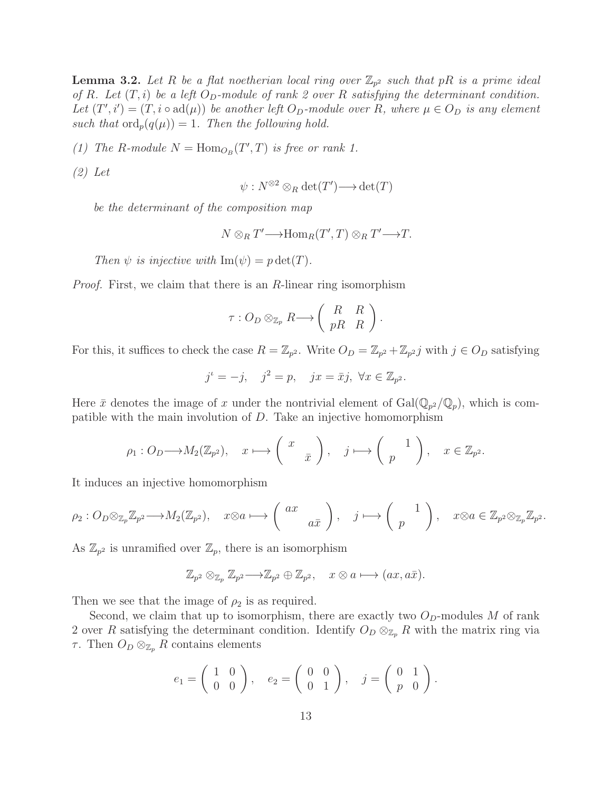**Lemma 3.2.** Let R be a flat noetherian local ring over  $\mathbb{Z}_{p^2}$  such that pR is a prime ideal of R. Let  $(T, i)$  be a left  $O_D$ -module of rank 2 over R satisfying the determinant condition. Let  $(T', i') = (T, i \circ \text{ad}(\mu))$  be another left  $O_D$ -module over R, where  $\mu \in O_D$  is any element such that  $\text{ord}_p(q(\mu)) = 1$ . Then the following hold.

(1) The R-module  $N = \text{Hom}_{O_B}(T', T)$  is free or rank 1.

(2) Let

$$
\psi: N^{\otimes 2} \otimes_R \det(T') \longrightarrow \det(T)
$$

be the determinant of the composition map

$$
N \otimes_R T' \longrightarrow \text{Hom}_R(T', T) \otimes_R T' \longrightarrow T.
$$

Then  $\psi$  is injective with  $\text{Im}(\psi) = p \det(T)$ .

Proof. First, we claim that there is an R-linear ring isomorphism

$$
\tau: O_D \otimes_{\mathbb{Z}_p} R \longrightarrow \left( \begin{array}{cc} R & R \\ pR & R \end{array} \right).
$$

For this, it suffices to check the case  $R = \mathbb{Z}_{p^2}$ . Write  $O_D = \mathbb{Z}_{p^2} + \mathbb{Z}_{p^2}j$  with  $j \in O_D$  satisfying

$$
j^{\iota} = -j, \quad j^2 = p, \quad jx = \bar{x}j, \ \forall x \in \mathbb{Z}_{p^2}.
$$

Here  $\bar{x}$  denotes the image of x under the nontrivial element of  $Gal(\mathbb{Q}_{p^2}/\mathbb{Q}_p)$ , which is compatible with the main involution of D. Take an injective homomorphism

$$
\rho_1: O_D \longrightarrow M_2(\mathbb{Z}_{p^2}), \quad x \longmapsto \left(\begin{array}{c} x \\ \bar{x} \end{array}\right), \quad j \longmapsto \left(\begin{array}{c} 1 \\ p \end{array}\right), \quad x \in \mathbb{Z}_{p^2}.
$$

It induces an injective homomorphism

$$
\rho_2: O_D \otimes_{\mathbb{Z}_p} \mathbb{Z}_{p^2} \longrightarrow M_2(\mathbb{Z}_{p^2}), \quad x \otimes a \longmapsto \left(\begin{array}{c} ax \\ a\bar{x} \end{array}\right), \quad j \longmapsto \left(\begin{array}{c} 1 \\ p \end{array}\right), \quad x \otimes a \in \mathbb{Z}_{p^2} \otimes_{\mathbb{Z}_p} \mathbb{Z}_{p^2}.
$$

As  $\mathbb{Z}_{p^2}$  is unramified over  $\mathbb{Z}_p$ , there is an isomorphism

$$
\mathbb{Z}_{p^2} \otimes_{\mathbb{Z}_p} \mathbb{Z}_{p^2} \longrightarrow \mathbb{Z}_{p^2} \oplus \mathbb{Z}_{p^2}, \quad x \otimes a \longmapsto (ax, a\overline{x}).
$$

Then we see that the image of  $\rho_2$  is as required.

Second, we claim that up to isomorphism, there are exactly two  $O_D$ -modules M of rank 2 over R satisfying the determinant condition. Identify  $O_D \otimes_{\mathbb{Z}_p} R$  with the matrix ring via τ. Then  $O_D \otimes_{\mathbb{Z}_p} R$  contains elements

$$
e_1 = \left(\begin{array}{cc} 1 & 0 \\ 0 & 0 \end{array}\right), \quad e_2 = \left(\begin{array}{cc} 0 & 0 \\ 0 & 1 \end{array}\right), \quad j = \left(\begin{array}{cc} 0 & 1 \\ p & 0 \end{array}\right).
$$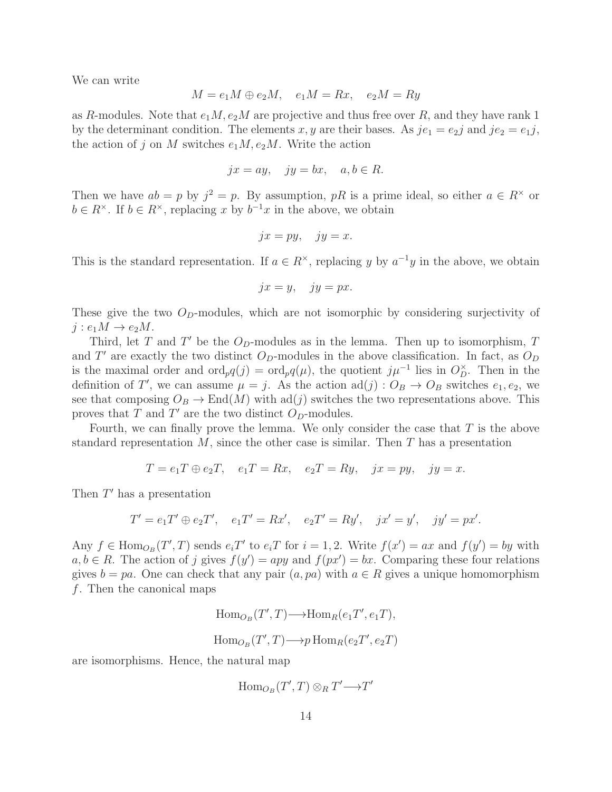We can write

$$
M = e_1 M \oplus e_2 M, \quad e_1 M = Rx, \quad e_2 M = Ry
$$

as R-modules. Note that  $e_1M, e_2M$  are projective and thus free over R, and they have rank 1 by the determinant condition. The elements x, y are their bases. As  $je_1 = e_2j$  and  $je_2 = e_1j$ , the action of j on M switches  $e_1M, e_2M$ . Write the action

$$
jx = ay, \quad jy = bx, \quad a, b \in R.
$$

Then we have  $ab = p$  by  $j^2 = p$ . By assumption, pR is a prime ideal, so either  $a \in \mathbb{R}^\times$  or  $b \in R^{\times}$ . If  $b \in R^{\times}$ , replacing x by  $b^{-1}x$  in the above, we obtain

$$
jx = py, \quad jy = x.
$$

This is the standard representation. If  $a \in R^{\times}$ , replacing y by  $a^{-1}y$  in the above, we obtain

$$
jx = y, \quad jy = px.
$$

These give the two  $O_p$ -modules, which are not isomorphic by considering surjectivity of  $j : e_1M \to e_2M$ .

Third, let T and T' be the  $O<sub>D</sub>$ -modules as in the lemma. Then up to isomorphism, T and T' are exactly the two distinct  $O_D$ -modules in the above classification. In fact, as  $O_D$ is the maximal order and  $\text{ord}_pq(j) = \text{ord}_pq(\mu)$ , the quotient  $j\mu^{-1}$  lies in  $O_D^{\times}$ . Then in the definition of T', we can assume  $\mu = j$ . As the action  $\text{ad}(j) : O_B \to O_B$  switches  $e_1, e_2$ , we see that composing  $O_B \to \text{End}(M)$  with ad(j) switches the two representations above. This proves that  $T$  and  $T'$  are the two distinct  $O_D$ -modules.

Fourth, we can finally prove the lemma. We only consider the case that  $T$  is the above standard representation  $M$ , since the other case is similar. Then  $T$  has a presentation

$$
T = e_1 T \oplus e_2 T, \quad e_1 T = Rx, \quad e_2 T = Ry, \quad jx = py, \quad jy = x.
$$

Then  $T'$  has a presentation

$$
T' = e_1 T' \oplus e_2 T', \quad e_1 T' = Rx', \quad e_2 T' = Ry', \quad jx' = y', \quad jy' = px'.
$$

Any  $f \in \text{Hom}_{O_B}(T', T)$  sends  $e_i T'$  to  $e_i T$  for  $i = 1, 2$ . Write  $f(x') = ax$  and  $f(y') = by$  with  $a, b \in R$ . The action of j gives  $f(y') = app$  and  $f(px') = bx$ . Comparing these four relations gives  $b = pa$ . One can check that any pair  $(a, pa)$  with  $a \in R$  gives a unique homomorphism f. Then the canonical maps

$$
\text{Hom}_{O_B}(T',T) \longrightarrow \text{Hom}_R(e_1T',e_1T),
$$
  

$$
\text{Hom}_{O_B}(T',T) \longrightarrow p \text{Hom}_R(e_2T',e_2T)
$$

are isomorphisms. Hence, the natural map

$$
\operatorname{Hom}_{O_B}(T',T)\otimes_R T' \longrightarrow T'
$$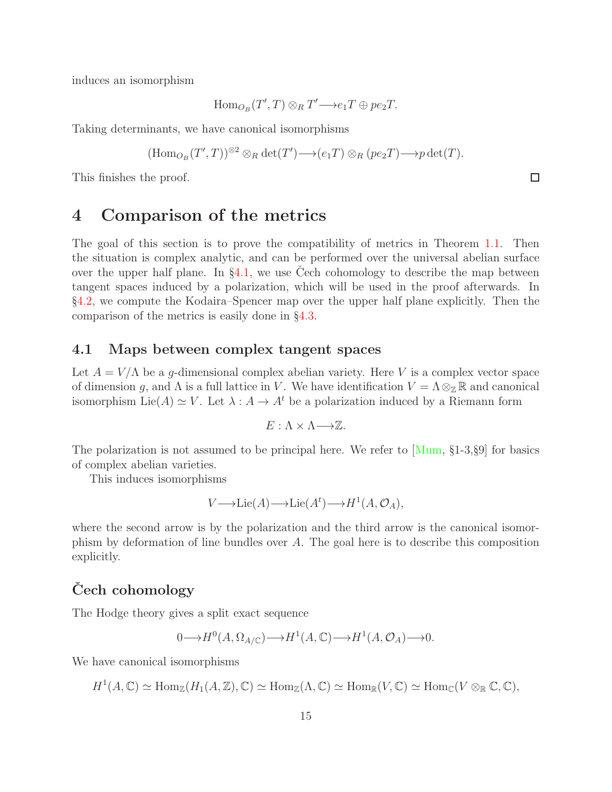induces an isomorphism

$$
\mathrm{Hom}_{O_B}(T',T)\otimes_R T'\longrightarrow e_1T\oplus pe_2T.
$$

Taking determinants, we have canonical isomorphisms

$$
(\mathrm{Hom}_{O_B}(T',T))^{\otimes 2}\otimes_R \det(T') \longrightarrow (e_1T)\otimes_R (pe_2T) \longrightarrow p \det(T).
$$

<span id="page-14-0"></span>This finishes the proof.

# 4 Comparison of the metrics

The goal of this section is to prove the compatibility of metrics in Theorem [1.1.](#page-2-0) Then the situation is complex analytic, and can be performed over the universal abelian surface over the upper half plane. In  $\S 4.1$ , we use Cech cohomology to describe the map between tangent spaces induced by a polarization, which will be used in the proof afterwards. In §[4.2,](#page-17-0) we compute the Kodaira–Spencer map over the upper half plane explicitly. Then the comparison of the metrics is easily done in §[4.3.](#page-22-0)

#### <span id="page-14-1"></span>4.1 Maps between complex tangent spaces

Let  $A = V/\Lambda$  be a g-dimensional complex abelian variety. Here V is a complex vector space of dimension g, and  $\Lambda$  is a full lattice in V. We have identification  $V = \Lambda \otimes_{\mathbb{Z}} \mathbb{R}$  and canonical isomorphism Lie(A)  $\simeq$  V. Let  $\lambda : A \to A^t$  be a polarization induced by a Riemann form

$$
E: \Lambda \times \Lambda \longrightarrow \mathbb{Z}.
$$

The polarization is not assumed to be principal here. We refer to [\[Mum,](#page-28-8) §1-3,§9] for basics of complex abelian varieties.

This induces isomorphisms

$$
V \longrightarrow \text{Lie}(A) \longrightarrow \text{Lie}(A^t) \longrightarrow H^1(A, \mathcal{O}_A),
$$

where the second arrow is by the polarization and the third arrow is the canonical isomorphism by deformation of line bundles over A. The goal here is to describe this composition explicitly.

### Cech cohomology

The Hodge theory gives a split exact sequence

$$
0 \longrightarrow H^0(A, \Omega_{A/\mathbb{C}}) \longrightarrow H^1(A, \mathbb{C}) \longrightarrow H^1(A, \mathcal{O}_A) \longrightarrow 0.
$$

We have canonical isomorphisms

 $H^1(A,\mathbb{C}) \simeq \text{Hom}_{\mathbb{Z}}(H_1(A,\mathbb{Z}),\mathbb{C}) \simeq \text{Hom}_{\mathbb{Z}}(\Lambda,\mathbb{C}) \simeq \text{Hom}_{\mathbb{R}}(V,\mathbb{C}) \simeq \text{Hom}_{\mathbb{C}}(V \otimes_{\mathbb{R}} \mathbb{C},\mathbb{C}),$ 

 $\Box$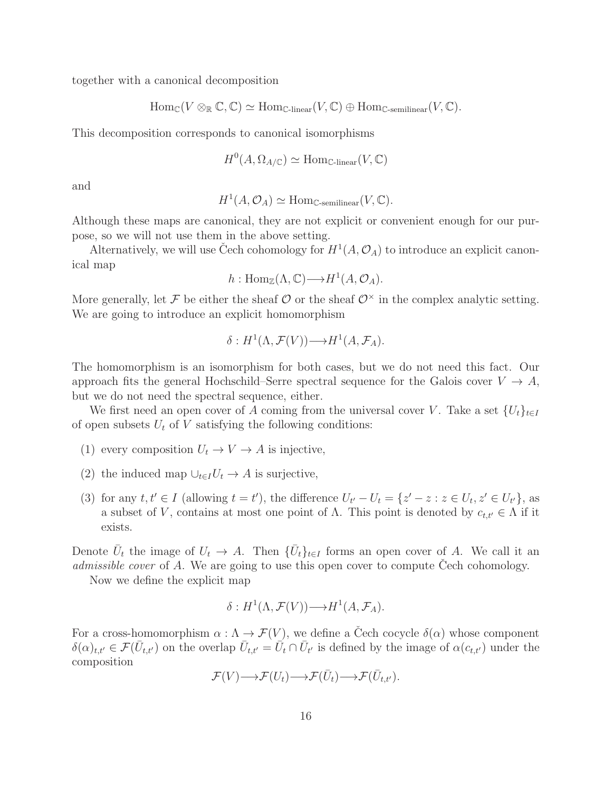together with a canonical decomposition

$$
\mathrm{Hom}_{\mathbb{C}}(V \otimes_{\mathbb{R}} \mathbb{C}, \mathbb{C}) \simeq \mathrm{Hom}_{\mathbb{C}\text{-linear}}(V, \mathbb{C}) \oplus \mathrm{Hom}_{\mathbb{C}\text{-semilinear}}(V, \mathbb{C}).
$$

This decomposition corresponds to canonical isomorphisms

$$
H^0(A, \Omega_{A/\mathbb{C}}) \simeq \text{Hom}_{\mathbb{C}\text{-linear}}(V, \mathbb{C})
$$

and

$$
H^1(A, \mathcal{O}_A) \simeq \text{Hom}_{\mathbb{C}\text{-semilinear}}(V, \mathbb{C}).
$$

Although these maps are canonical, they are not explicit or convenient enough for our purpose, so we will not use them in the above setting.

Alternatively, we will use Čech cohomology for  $H^1(A, \mathcal{O}_A)$  to introduce an explicit canonical map

$$
h: \operatorname{Hom}_{\mathbb{Z}}(\Lambda, \mathbb{C}) \longrightarrow H^1(A, \mathcal{O}_A).
$$

More generally, let F be either the sheaf  $\mathcal{O}$  or the sheaf  $\mathcal{O}^{\times}$  in the complex analytic setting. We are going to introduce an explicit homomorphism

$$
\delta: H^1(\Lambda, \mathcal{F}(V)) \longrightarrow H^1(A, \mathcal{F}_A).
$$

The homomorphism is an isomorphism for both cases, but we do not need this fact. Our approach fits the general Hochschild–Serre spectral sequence for the Galois cover  $V \to A$ , but we do not need the spectral sequence, either.

We first need an open cover of A coming from the universal cover V. Take a set  $\{U_t\}_{t\in I}$ of open subsets  $U_t$  of V satisfying the following conditions:

- (1) every composition  $U_t \to V \to A$  is injective,
- (2) the induced map  $\cup_{t\in I}U_t\to A$  is surjective,
- (3) for any  $t, t' \in I$  (allowing  $t = t'$ ), the difference  $U_{t'} U_t = \{z' z : z \in U_t, z' \in U_{t'}\}$ , as a subset of V, contains at most one point of  $\Lambda$ . This point is denoted by  $c_{t,t'} \in \Lambda$  if it exists.

Denote  $\bar{U}_t$  the image of  $U_t \to A$ . Then  $\{\bar{U}_t\}_{t\in I}$  forms an open cover of A. We call it an admissible cover of A. We are going to use this open cover to compute Cech cohomology.

Now we define the explicit map

$$
\delta: H^1(\Lambda, \mathcal{F}(V)) \longrightarrow H^1(A, \mathcal{F}_A).
$$

For a cross-homomorphism  $\alpha : \Lambda \to \mathcal{F}(V)$ , we define a Čech cocycle  $\delta(\alpha)$  whose component  $\delta(\alpha)_{t,t'} \in \mathcal{F}(\bar{U}_{t,t'})$  on the overlap  $\bar{U}_{t,t'} = \bar{U}_t \cap \bar{U}_{t'}$  is defined by the image of  $\alpha(c_{t,t'})$  under the composition

$$
\mathcal{F}(V) \longrightarrow \mathcal{F}(U_t) \longrightarrow \mathcal{F}(\bar{U}_t) \longrightarrow \mathcal{F}(\bar{U}_{t,t'}).
$$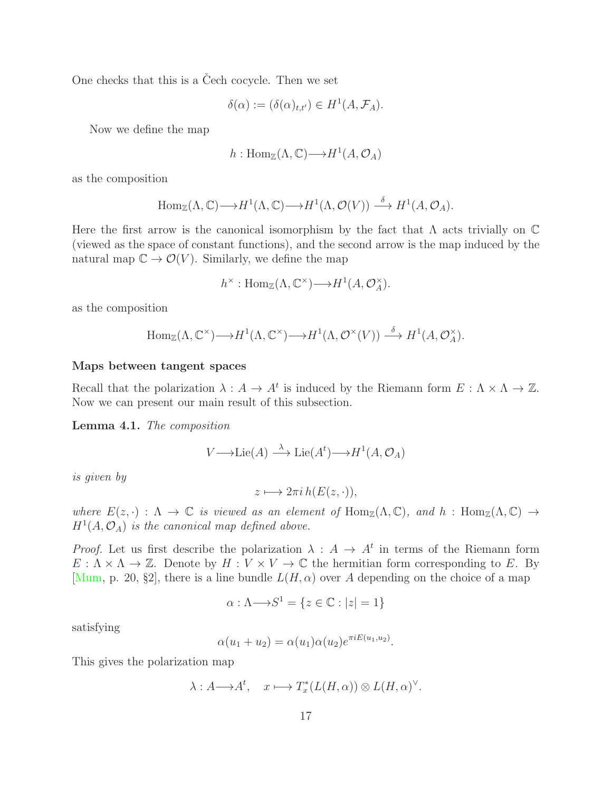One checks that this is a Cech cocycle. Then we set

$$
\delta(\alpha) := (\delta(\alpha)_{t,t'}) \in H^1(A, \mathcal{F}_A).
$$

Now we define the map

$$
h: \operatorname{Hom}_{\mathbb{Z}}(\Lambda, \mathbb{C}) \longrightarrow H^1(A, \mathcal{O}_A)
$$

as the composition

$$
\text{Hom}_{\mathbb{Z}}(\Lambda, \mathbb{C}) \longrightarrow H^1(\Lambda, \mathbb{C}) \longrightarrow H^1(\Lambda, \mathcal{O}(V)) \stackrel{\delta}{\longrightarrow} H^1(A, \mathcal{O}_A).
$$

Here the first arrow is the canonical isomorphism by the fact that  $\Lambda$  acts trivially on  $\mathbb C$ (viewed as the space of constant functions), and the second arrow is the map induced by the natural map  $\mathbb{C} \to \mathcal{O}(V)$ . Similarly, we define the map

$$
h^{\times} : \text{Hom}_{\mathbb{Z}}(\Lambda, \mathbb{C}^{\times}) \longrightarrow H^{1}(A, \mathcal{O}_{A}^{\times}).
$$

as the composition

$$
\text{Hom}_{\mathbb{Z}}(\Lambda, \mathbb{C}^{\times}) \longrightarrow H^{1}(\Lambda, \mathbb{C}^{\times}) \longrightarrow H^{1}(\Lambda, \mathcal{O}^{\times}(V)) \stackrel{\delta}{\longrightarrow} H^{1}(A, \mathcal{O}_{A}^{\times}).
$$

#### Maps between tangent spaces

Recall that the polarization  $\lambda: A \to A^t$  is induced by the Riemann form  $E: \Lambda \times \Lambda \to \mathbb{Z}$ . Now we can present our main result of this subsection.

<span id="page-16-0"></span>Lemma 4.1. The composition

$$
V \longrightarrow \text{Lie}(A) \stackrel{\lambda}{\longrightarrow} \text{Lie}(A^t) \longrightarrow H^1(A, \mathcal{O}_A)
$$

is given by

$$
z \longmapsto 2\pi i \, h(E(z, \cdot)),
$$

where  $E(z, \cdot) : \Lambda \to \mathbb{C}$  is viewed as an element of  $\text{Hom}_{\mathbb{Z}}(\Lambda, \mathbb{C})$ , and  $h : \text{Hom}_{\mathbb{Z}}(\Lambda, \mathbb{C}) \to$  $H<sup>1</sup>(A, \mathcal{O}<sub>A</sub>)$  is the canonical map defined above.

*Proof.* Let us first describe the polarization  $\lambda : A \to A^t$  in terms of the Riemann form  $E: \Lambda \times \Lambda \to \mathbb{Z}$ . Denote by  $H: V \times V \to \mathbb{C}$  the hermitian form corresponding to E. By [\[Mum,](#page-28-8) p. 20, §2], there is a line bundle  $L(H, \alpha)$  over A depending on the choice of a map

$$
\alpha : \Lambda \longrightarrow S^1 = \{ z \in \mathbb{C} : |z| = 1 \}
$$

satisfying

$$
\alpha(u_1 + u_2) = \alpha(u_1)\alpha(u_2)e^{\pi i E(u_1, u_2)}
$$

.

This gives the polarization map

$$
\lambda: A \longrightarrow A^t, \quad x \longmapsto T_x^*(L(H, \alpha)) \otimes L(H, \alpha)^{\vee}.
$$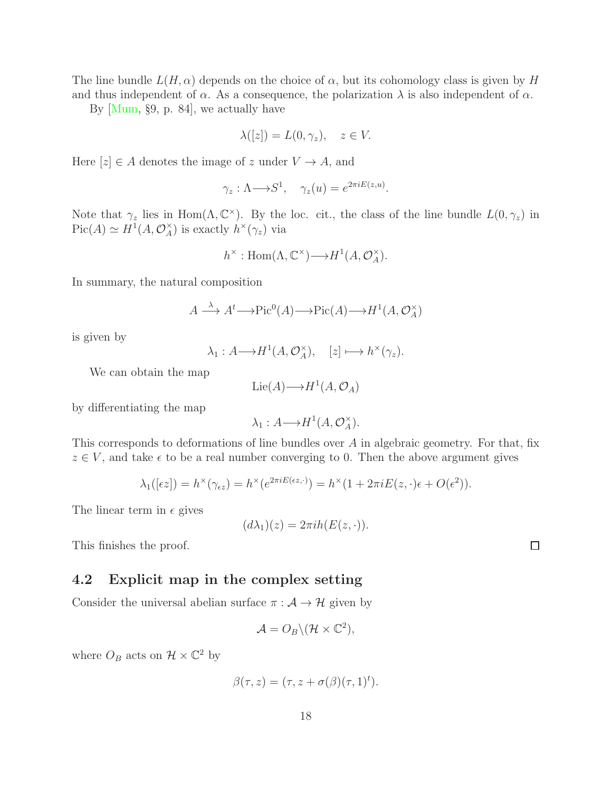The line bundle  $L(H, \alpha)$  depends on the choice of  $\alpha$ , but its cohomology class is given by H and thus independent of  $\alpha$ . As a consequence, the polarization  $\lambda$  is also independent of  $\alpha$ .

By [\[Mum,](#page-28-8) §9, p. 84], we actually have

$$
\lambda([z]) = L(0, \gamma_z), \quad z \in V.
$$

Here  $[z] \in A$  denotes the image of z under  $V \to A$ , and

$$
\gamma_z : \Lambda \longrightarrow S^1, \quad \gamma_z(u) = e^{2\pi i E(z, u)}.
$$

Note that  $\gamma_z$  lies in Hom $(\Lambda, \mathbb{C}^{\times})$ . By the loc. cit., the class of the line bundle  $L(0, \gamma_z)$  in  $Pic(A) \simeq H^1(A, \mathcal{O}_A^{\times})$  $_{A}^{\times}$ ) is exactly  $h^{\times}(\gamma_z)$  via

$$
h^{\times} : \text{Hom}(\Lambda, \mathbb{C}^{\times}) \longrightarrow H^{1}(A, \mathcal{O}_{A}^{\times}).
$$

In summary, the natural composition

$$
A \xrightarrow{\lambda} A^t \longrightarrow \text{Pic}^0(A) \longrightarrow \text{Pic}(A) \longrightarrow H^1(A, \mathcal{O}_A^{\times})
$$

is given by

$$
\lambda_1: A \longrightarrow H^1(A, \mathcal{O}_A^{\times}), \quad [z] \longmapsto h^{\times}(\gamma_z).
$$

We can obtain the map

$$
Lie(A) {\longrightarrow} H^1(A, \mathcal{O}_A)
$$

by differentiating the map

$$
\lambda_1: A \longrightarrow H^1(A, \mathcal{O}_A^{\times}).
$$

This corresponds to deformations of line bundles over A in algebraic geometry. For that, fix  $z \in V$ , and take  $\epsilon$  to be a real number converging to 0. Then the above argument gives

$$
\lambda_1([\epsilon z]) = h^{\times}(\gamma_{\epsilon z}) = h^{\times}(e^{2\pi i E(\epsilon z, \cdot)}) = h^{\times}(1 + 2\pi i E(z, \cdot)\epsilon + O(\epsilon^2)).
$$

The linear term in  $\epsilon$  gives

$$
(d\lambda_1)(z) = 2\pi i h(E(z, \cdot)).
$$

This finishes the proof.

#### <span id="page-17-0"></span>4.2 Explicit map in the complex setting

Consider the universal abelian surface  $\pi : A \rightarrow \mathcal{H}$  given by

$$
\mathcal{A}=O_B\backslash(\mathcal{H}\times\mathbb{C}^2),
$$

where  $O_B$  acts on  $\mathcal{H} \times \mathbb{C}^2$  by

$$
\beta(\tau, z) = (\tau, z + \sigma(\beta)(\tau, 1)^t).
$$

 $\Box$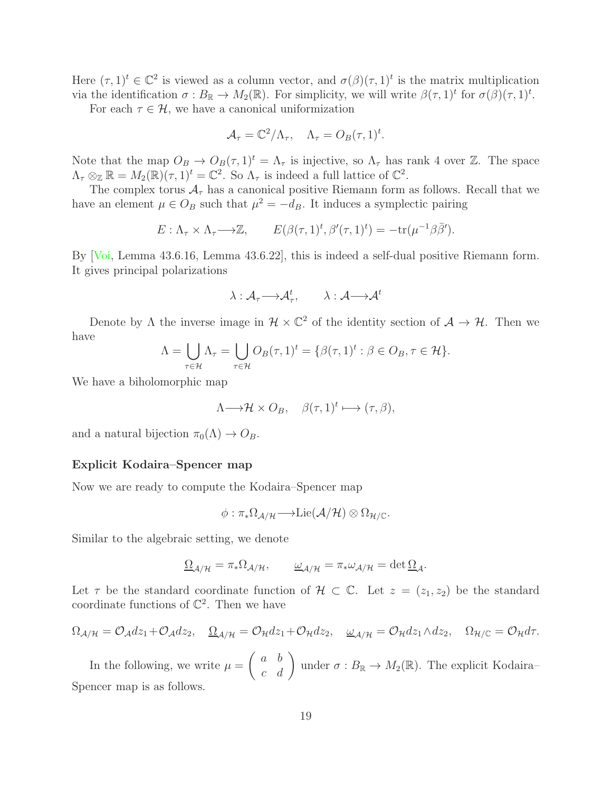Here  $(\tau,1)^t \in \mathbb{C}^2$  is viewed as a column vector, and  $\sigma(\beta)(\tau,1)^t$  is the matrix multiplication via the identification  $\sigma: B_{\mathbb{R}} \to M_2(\mathbb{R})$ . For simplicity, we will write  $\beta(\tau,1)^t$  for  $\sigma(\beta)(\tau,1)^t$ .

For each  $\tau \in \mathcal{H}$ , we have a canonical uniformization

$$
\mathcal{A}_{\tau} = \mathbb{C}^2/\Lambda_{\tau}, \quad \Lambda_{\tau} = O_B(\tau, 1)^t.
$$

Note that the map  $O_B \to O_B(\tau, 1)^t = \Lambda_\tau$  is injective, so  $\Lambda_\tau$  has rank 4 over Z. The space  $\Lambda_{\tau} \otimes_{\mathbb{Z}} \mathbb{R} = M_2(\mathbb{R})(\tau, 1)^t = \mathbb{C}^2$ . So  $\Lambda_{\tau}$  is indeed a full lattice of  $\mathbb{C}^2$ .

The complex torus  $A<sub>\tau</sub>$  has a canonical positive Riemann form as follows. Recall that we have an element  $\mu \in O_B$  such that  $\mu^2 = -d_B$ . It induces a symplectic pairing

$$
E: \Lambda_{\tau} \times \Lambda_{\tau} \longrightarrow \mathbb{Z}, \qquad E(\beta(\tau, 1)^{t}, \beta'(\tau, 1)^{t}) = -\text{tr}(\mu^{-1}\beta\overline{\beta}').
$$

By [\[Voi,](#page-29-2) Lemma 43.6.16, Lemma 43.6.22], this is indeed a self-dual positive Riemann form. It gives principal polarizations

$$
\lambda:{\mathcal A}_{\tau}{\longrightarrow} {\mathcal A}_{\tau}^t,\qquad \lambda:{\mathcal A}{\longrightarrow} {\mathcal A}^t
$$

Denote by  $\Lambda$  the inverse image in  $\mathcal{H} \times \mathbb{C}^2$  of the identity section of  $\mathcal{A} \to \mathcal{H}$ . Then we have

$$
\Lambda = \bigcup_{\tau \in \mathcal{H}} \Lambda_{\tau} = \bigcup_{\tau \in \mathcal{H}} O_B(\tau, 1)^t = \{ \beta(\tau, 1)^t : \beta \in O_B, \tau \in \mathcal{H} \}.
$$

We have a biholomorphic map

$$
\Lambda \longrightarrow \mathcal{H} \times O_B, \quad \beta(\tau, 1)^t \longmapsto (\tau, \beta),
$$

and a natural bijection  $\pi_0(\Lambda) \to O_B$ .

#### Explicit Kodaira–Spencer map

Now we are ready to compute the Kodaira–Spencer map

$$
\phi: \pi_*\Omega_{\mathcal{A}/\mathcal{H}} \longrightarrow \mathrm{Lie}(\mathcal{A}/\mathcal{H}) \otimes \Omega_{\mathcal{H}/\mathbb{C}}.
$$

Similar to the algebraic setting, we denote

$$
\underline{\Omega}_{\mathcal{A}/\mathcal{H}} = \pi_* \Omega_{\mathcal{A}/\mathcal{H}}, \qquad \underline{\omega}_{\mathcal{A}/\mathcal{H}} = \pi_* \omega_{\mathcal{A}/\mathcal{H}} = \det \underline{\Omega}_{\mathcal{A}}.
$$

Let  $\tau$  be the standard coordinate function of  $\mathcal{H} \subset \mathbb{C}$ . Let  $z = (z_1, z_2)$  be the standard coordinate functions of  $\mathbb{C}^2$ . Then we have

$$
\Omega_{\mathcal{A}/\mathcal{H}} = \mathcal{O}_{\mathcal{A}} dz_1 + \mathcal{O}_{\mathcal{A}} dz_2, \quad \underline{\Omega}_{\mathcal{A}/\mathcal{H}} = \mathcal{O}_{\mathcal{H}} dz_1 + \mathcal{O}_{\mathcal{H}} dz_2, \quad \underline{\omega}_{\mathcal{A}/\mathcal{H}} = \mathcal{O}_{\mathcal{H}} dz_1 \wedge dz_2, \quad \Omega_{\mathcal{H}/\mathbb{C}} = \mathcal{O}_{\mathcal{H}} d\tau.
$$

In the following, we write  $\mu =$  $\begin{pmatrix} a & b \\ c & d \end{pmatrix}$  under  $\sigma : B_{\mathbb{R}} \to M_2(\mathbb{R})$ . The explicit Kodaira-Spencer map is as follows.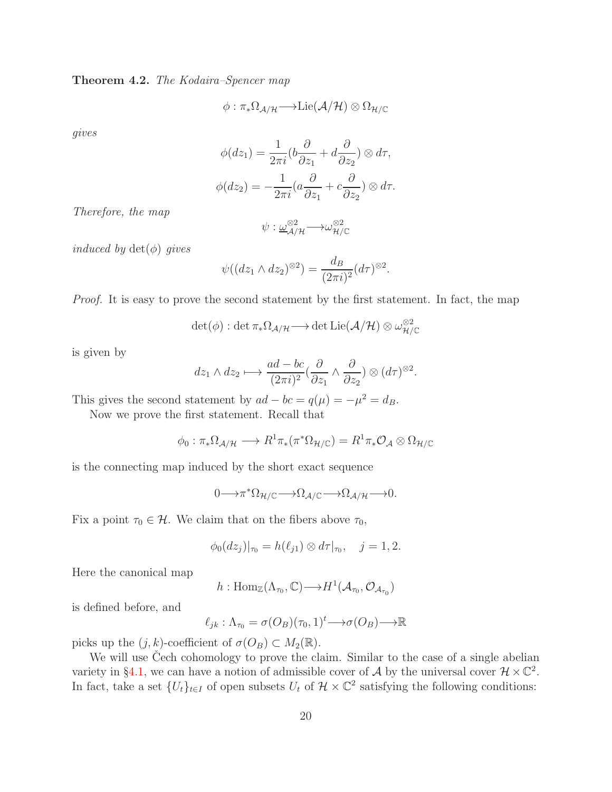<span id="page-19-0"></span>Theorem 4.2. The Kodaira–Spencer map

$$
\phi: \pi_*\Omega_{\mathcal{A}/\mathcal{H}} \longrightarrow \mathrm{Lie}(\mathcal{A}/\mathcal{H}) \otimes \Omega_{\mathcal{H}/\mathbb{C}}
$$

gives

$$
\phi(dz_1) = \frac{1}{2\pi i} (b\frac{\partial}{\partial z_1} + d\frac{\partial}{\partial z_2}) \otimes d\tau,
$$
  

$$
\phi(dz_2) = -\frac{1}{2\pi i} (a\frac{\partial}{\partial z_1} + c\frac{\partial}{\partial z_2}) \otimes d\tau.
$$

Therefore, the map

$$
\psi: \underline{\omega}^{\otimes 2}_{\mathcal{A}/\mathcal{H}} {\longrightarrow} \omega^{\otimes 2}_{\mathcal{H}/\mathbb{C}}
$$

*induced by*  $det(\phi)$  *gives* 

$$
\psi((dz_1 \wedge dz_2)^{\otimes 2}) = \frac{d_B}{(2\pi i)^2} (d\tau)^{\otimes 2}.
$$

Proof. It is easy to prove the second statement by the first statement. In fact, the map

$$
\det(\phi) : \det \pi_* \Omega_{\mathcal{A}/\mathcal{H}} \longrightarrow \det \mathrm{Lie}(\mathcal{A}/\mathcal{H}) \otimes \omega_{\mathcal{H}/\mathbb{C}}^{\otimes 2}
$$

is given by

$$
dz_1 \wedge dz_2 \longmapsto \frac{ad - bc}{(2\pi i)^2} \left(\frac{\partial}{\partial z_1} \wedge \frac{\partial}{\partial z_2}\right) \otimes (d\tau)^{\otimes 2}.
$$

This gives the second statement by  $ad - bc = q(\mu) = -\mu^2 = d_B$ .

Now we prove the first statement. Recall that

$$
\phi_0: \pi_*\Omega_{\mathcal{A}/\mathcal{H}} \longrightarrow R^1\pi_*\left(\pi^*\Omega_{\mathcal{H}/\mathbb{C}}\right) = R^1\pi_*\mathcal{O}_{\mathcal{A}} \otimes \Omega_{\mathcal{H}/\mathbb{C}}
$$

is the connecting map induced by the short exact sequence

$$
0 \longrightarrow \pi^* \Omega_{\mathcal{H}/\mathbb{C}} \longrightarrow \Omega_{\mathcal{A}/\mathbb{C}} \longrightarrow \Omega_{\mathcal{A}/\mathcal{H}} \longrightarrow 0.
$$

Fix a point  $\tau_0 \in \mathcal{H}$ . We claim that on the fibers above  $\tau_0$ ,

$$
\phi_0(dz_j)|_{\tau_0} = h(\ell_{j1}) \otimes d\tau|_{\tau_0}, \quad j = 1, 2.
$$

Here the canonical map

$$
h: \mathrm{Hom}_{\mathbb{Z}}(\Lambda_{\tau_0}, \mathbb{C}) {\longrightarrow} H^1(\mathcal{A}_{\tau_0}, \mathcal{O}_{\mathcal{A}_{\tau_0}})
$$

is defined before, and

$$
\ell_{jk}: \Lambda_{\tau_0} = \sigma(O_B)(\tau_0, 1)^t \longrightarrow \sigma(O_B) \longrightarrow \mathbb{R}
$$

picks up the  $(j, k)$ -coefficient of  $\sigma(O_B) \subset M_2(\mathbb{R})$ .

We will use Cech cohomology to prove the claim. Similar to the case of a single abelian variety in §[4.1,](#page-14-1) we can have a notion of admissible cover of A by the universal cover  $\mathcal{H} \times \mathbb{C}^2$ . In fact, take a set  $\{U_t\}_{t\in I}$  of open subsets  $U_t$  of  $\mathcal{H} \times \mathbb{C}^2$  satisfying the following conditions: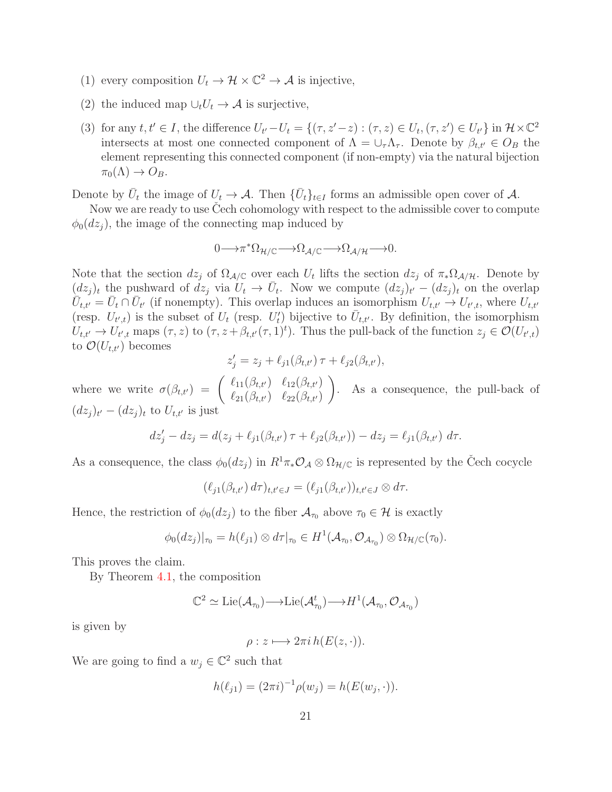- (1) every composition  $U_t \to \mathcal{H} \times \mathbb{C}^2 \to \mathcal{A}$  is injective,
- (2) the induced map  $\cup_t U_t \to \mathcal{A}$  is surjective,
- (3) for any  $t, t' \in I$ , the difference  $U_{t'}-U_t = \{(\tau, z'-z) : (\tau, z) \in U_t, (\tau, z') \in U_{t'}\}$  in  $\mathcal{H} \times \mathbb{C}^2$ intersects at most one connected component of  $\Lambda = \cup_{\tau} \Lambda_{\tau}$ . Denote by  $\beta_{t,t'} \in O_B$  the element representing this connected component (if non-empty) via the natural bijection  $\pi_0(\Lambda) \to O_B.$

Denote by  $\bar{U}_t$  the image of  $U_t \to A$ . Then  $\{\bar{U}_t\}_{t\in I}$  forms an admissible open cover of A.

Now we are ready to use Cech cohomology with respect to the admissible cover to compute  $\phi_0(dz_i)$ , the image of the connecting map induced by

$$
0 \longrightarrow \pi^* \Omega_{\mathcal{H}/\mathbb{C}} \longrightarrow \Omega_{\mathcal{A}/\mathbb{C}} \longrightarrow \Omega_{\mathcal{A}/\mathcal{H}} \longrightarrow 0.
$$

Note that the section  $dz_j$  of  $\Omega_{\mathcal{A}/\mathbb{C}}$  over each  $U_t$  lifts the section  $dz_j$  of  $\pi_*\Omega_{\mathcal{A}/\mathcal{H}}$ . Denote by  $(dz_j)_t$  the pushward of  $\ddot{dz}_j$  via  $\ddot{U}_t \to \bar{U}_t$ . Now we compute  $(dz_j)_{t'} - (dz_j)_t$  on the overlap  $\overline{U}_{t,t'} = \overline{U}_t \cap \overline{U}_{t'}$  (if nonempty). This overlap induces an isomorphism  $U_{t,t'} \to U_{t',t}$ , where  $U_{t,t'}$ (resp.  $U_{t',t}$ ) is the subset of  $U_t$  (resp.  $U'_t$ ) bijective to  $\bar{U}_{t,t'}$ . By definition, the isomorphism  $U_{t,t'} \to U_{t',t}$  maps  $(\tau, z)$  to  $(\tau, z + \beta_{t,t'}(\tau, 1)^t)$ . Thus the pull-back of the function  $z_j \in \mathcal{O}(U_{t',t})$ to  $\mathcal{O}(U_{t,t'})$  becomes

$$
z'_{j} = z_{j} + \ell_{j1}(\beta_{t,t'}) \tau + \ell_{j2}(\beta_{t,t'}),
$$

where we write  $\sigma(\beta_{t,t'}) = \begin{pmatrix} \ell_{11}(\beta_{t,t'}) & \ell_{12}(\beta_{t,t'}) \ \ell_{11}(\beta_{t,t'}) & \ell_{12}(\beta_{t,t'}) \end{pmatrix}$  $\ell_{21}(\beta_{t,t'}) \quad \ell_{22}(\beta_{t,t'})$  $\setminus$ . As a consequence, the pull-back of  $(dz_j)_{t'} - (dz_j)_t$  to  $U_{t,t'}$  is just

$$
dz'_{j} - dz_{j} = d(z_{j} + \ell_{j1}(\beta_{t,t'}) \tau + \ell_{j2}(\beta_{t,t'})) - dz_{j} = \ell_{j1}(\beta_{t,t'}) d\tau.
$$

As a consequence, the class  $\phi_0(dz_j)$  in  $R^1\pi_*\mathcal{O}_\mathcal{A}\otimes\Omega_{\mathcal{H}/\mathbb{C}}$  is represented by the Čech cocycle

$$
(\ell_{j1}(\beta_{t,t'}) d\tau)_{t,t'\in J} = (\ell_{j1}(\beta_{t,t'}))_{t,t'\in J} \otimes d\tau.
$$

Hence, the restriction of  $\phi_0(dz_j)$  to the fiber  $\mathcal{A}_{\tau_0}$  above  $\tau_0 \in \mathcal{H}$  is exactly

$$
\phi_0(dz_j)|_{\tau_0}=h(\ell_{j1})\otimes d\tau|_{\tau_0}\in H^1(\mathcal{A}_{\tau_0},\mathcal{O}_{\mathcal{A}_{\tau_0}})\otimes\Omega_{\mathcal{H}/\mathbb{C}}(\tau_0).
$$

This proves the claim.

By Theorem [4.1,](#page-16-0) the composition

$$
\mathbb{C}^2 \simeq \mathrm{Lie}(\mathcal{A}_{\tau_0}) \longrightarrow \mathrm{Lie}(\mathcal{A}_{\tau_0}^t) \longrightarrow H^1(\mathcal{A}_{\tau_0}, \mathcal{O}_{\mathcal{A}_{\tau_0}})
$$

is given by

$$
\rho: z \longmapsto 2\pi i h(E(z, \cdot)).
$$

We are going to find a  $w_j \in \mathbb{C}^2$  such that

$$
h(\ell_{j1}) = (2\pi i)^{-1} \rho(w_j) = h(E(w_j, \cdot)).
$$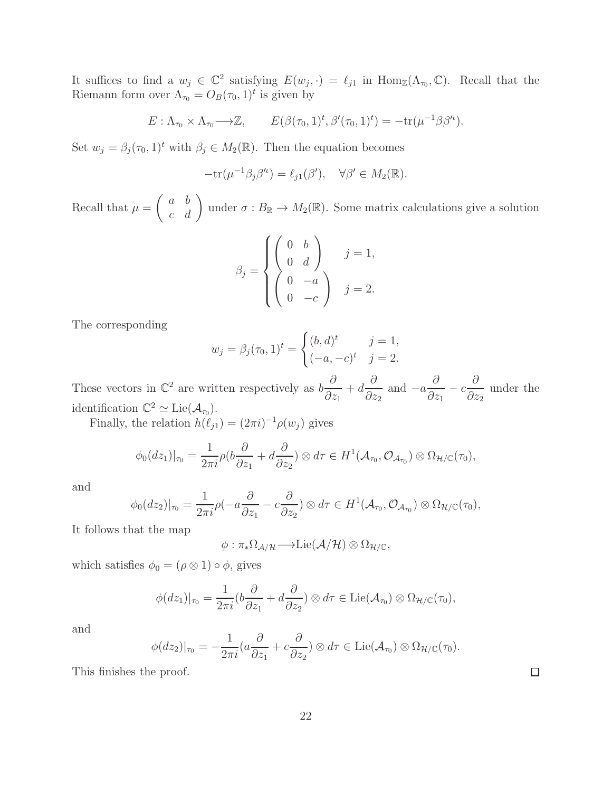It suffices to find a  $w_j \in \mathbb{C}^2$  satisfying  $E(w_j, \cdot) = \ell_{j1}$  in  $\text{Hom}_{\mathbb{Z}}(\Lambda_{\tau_0}, \mathbb{C})$ . Recall that the Riemann form over  $\Lambda_{\tau_0} = O_B(\tau_0, 1)^t$  is given by

$$
E: \Lambda_{\tau_0} \times \Lambda_{\tau_0} \longrightarrow \mathbb{Z}, \qquad E(\beta(\tau_0, 1)^t, \beta'(\tau_0, 1)^t) = -\text{tr}(\mu^{-1}\beta\beta'^t).
$$

Set  $w_j = \beta_j(\tau_0, 1)^t$  with  $\beta_j \in M_2(\mathbb{R})$ . Then the equation becomes

$$
-tr(\mu^{-1}\beta_j\beta^{\prime\prime}) = \ell_{j1}(\beta^{\prime}), \quad \forall \beta^{\prime} \in M_2(\mathbb{R}).
$$

Recall that  $\mu =$  $\begin{pmatrix} a & b \\ c & d \end{pmatrix}$  under  $\sigma : B_{\mathbb{R}} \to M_2(\mathbb{R})$ . Some matrix calculations give a solution

$$
\beta_j = \begin{cases} \begin{pmatrix} 0 & b \\ 0 & d \end{pmatrix} & j = 1, \\ \begin{pmatrix} 0 & -a \\ 0 & -c \end{pmatrix} & j = 2. \end{cases}
$$

The corresponding

$$
w_j = \beta_j(\tau_0, 1)^t = \begin{cases} (b, d)^t & j = 1, \\ (-a, -c)^t & j = 2. \end{cases}
$$

These vectors in  $\mathbb{C}^2$  are written respectively as  $b\frac{\partial}{\partial x}$  $\partial z_1$  $+ d$ ∂  $\partial z_2$ and  $-a$ ∂  $\partial z_1$  $- c$ ∂  $\partial z_2$ under the identification  $\mathbb{C}^2 \simeq \mathrm{Lie}(\mathcal{A}_{\tau_0}).$ 

Finally, the relation  $h(\ell_{j1}) = (2\pi i)^{-1} \rho(w_j)$  gives

$$
\phi_0(dz_1)|_{\tau_0} = \frac{1}{2\pi i} \rho(b\frac{\partial}{\partial z_1} + d\frac{\partial}{\partial z_2}) \otimes d\tau \in H^1(\mathcal{A}_{\tau_0}, \mathcal{O}_{\mathcal{A}_{\tau_0}}) \otimes \Omega_{\mathcal{H}/\mathbb{C}}(\tau_0),
$$

and

$$
\phi_0(dz_2)|_{\tau_0} = \frac{1}{2\pi i} \rho(-a\frac{\partial}{\partial z_1} - c\frac{\partial}{\partial z_2}) \otimes d\tau \in H^1(\mathcal{A}_{\tau_0}, \mathcal{O}_{\mathcal{A}_{\tau_0}}) \otimes \Omega_{\mathcal{H}/\mathbb{C}}(\tau_0),
$$

It follows that the map

$$
\phi: \pi_*\Omega_{\mathcal{A}/\mathcal{H}} \longrightarrow \mathrm{Lie}(\mathcal{A}/\mathcal{H}) \otimes \Omega_{\mathcal{H}/\mathbb{C}},
$$

which satisfies  $\phi_0 = (\rho \otimes 1) \circ \phi$ , gives

$$
\phi(dz_1)|_{\tau_0} = \frac{1}{2\pi i} (b\frac{\partial}{\partial z_1} + d\frac{\partial}{\partial z_2}) \otimes d\tau \in \text{Lie}(\mathcal{A}_{\tau_0}) \otimes \Omega_{\mathcal{H}/\mathbb{C}}(\tau_0),
$$

and

$$
\phi(dz_2)|_{\tau_0} = -\frac{1}{2\pi i} (a\frac{\partial}{\partial z_1} + c\frac{\partial}{\partial z_2}) \otimes d\tau \in \text{Lie}(\mathcal{A}_{\tau_0}) \otimes \Omega_{\mathcal{H}/\mathbb{C}}(\tau_0).
$$

This finishes the proof.

 $\Box$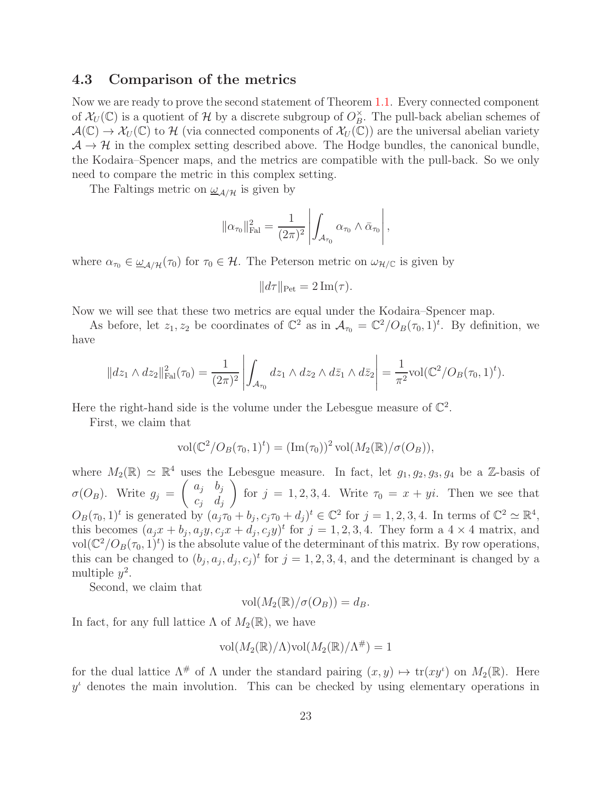#### <span id="page-22-0"></span>4.3 Comparison of the metrics

Now we are ready to prove the second statement of Theorem [1.1.](#page-2-0) Every connected component of  $\mathcal{X}_U(\mathbb{C})$  is a quotient of  $\mathcal{H}$  by a discrete subgroup of  $O_B^{\times}$  $B^{\times}$ . The pull-back abelian schemes of  $\mathcal{A}(\mathbb{C}) \to \mathcal{X}_U(\mathbb{C})$  to H (via connected components of  $\mathcal{X}_U(\mathbb{C})$ ) are the universal abelian variety  $A \rightarrow \mathcal{H}$  in the complex setting described above. The Hodge bundles, the canonical bundle, the Kodaira–Spencer maps, and the metrics are compatible with the pull-back. So we only need to compare the metric in this complex setting.

The Faltings metric on  $\omega_{\mathcal{A}/\mathcal{H}}$  is given by

$$
\|\alpha_{\tau_0}\|_{\mathrm{Fal}}^2 = \frac{1}{(2\pi)^2} \left| \int_{\mathcal{A}_{\tau_0}} \alpha_{\tau_0} \wedge \bar{\alpha}_{\tau_0} \right|,
$$

where  $\alpha_{\tau_0} \in \underline{\omega}_{\mathcal{A}/\mathcal{H}}(\tau_0)$  for  $\tau_0 \in \mathcal{H}$ . The Peterson metric on  $\omega_{\mathcal{H}/\mathbb{C}}$  is given by

$$
||d\tau||_{\text{Pet}} = 2 \operatorname{Im}(\tau).
$$

Now we will see that these two metrics are equal under the Kodaira–Spencer map.

As before, let  $z_1, z_2$  be coordinates of  $\mathbb{C}^2$  as in  $\mathcal{A}_{\tau_0} = \mathbb{C}^2/O_B(\tau_0, 1)^t$ . By definition, we have

$$
||dz_1 \wedge dz_2||_{\text{Fal}}^2(\tau_0) = \frac{1}{(2\pi)^2} \left| \int_{\mathcal{A}_{\tau_0}} dz_1 \wedge dz_2 \wedge d\bar{z}_1 \wedge d\bar{z}_2 \right| = \frac{1}{\pi^2} \text{vol}(\mathbb{C}^2/O_B(\tau_0, 1)^t).
$$

Here the right-hand side is the volume under the Lebesgue measure of  $\mathbb{C}^2$ .

First, we claim that

$$
\text{vol}(\mathbb{C}^2/O_B(\tau_0,1)^t) = (\text{Im}(\tau_0))^2 \text{vol}(M_2(\mathbb{R})/\sigma(O_B)),
$$

where  $M_2(\mathbb{R}) \simeq \mathbb{R}^4$  uses the Lebesgue measure. In fact, let  $g_1, g_2, g_3, g_4$  be a Z-basis of  $\sigma(O_B)$ . Write  $g_j =$  $\int a_j \quad b_j$  $c_j$   $d_j$  $\setminus$ for  $j = 1, 2, 3, 4$ . Write  $\tau_0 = x + yi$ . Then we see that  $O_B(\tau_0, 1)^t$  is generated by  $(a_j \tau_0 + b_j, c_j \tau_0 + d_j)^t \in \mathbb{C}^2$  for  $j = 1, 2, 3, 4$ . In terms of  $\mathbb{C}^2 \simeq \mathbb{R}^4$ , this becomes  $(a_jx + b_j, a_jy, c_jx + d_j, c_jy)^t$  for  $j = 1, 2, 3, 4$ . They form a  $4 \times 4$  matrix, and vol $(\mathbb{C}^2/O_B(\tau_0, 1)^t)$  is the absolute value of the determinant of this matrix. By row operations, this can be changed to  $(b_j, a_j, d_j, c_j)^t$  for  $j = 1, 2, 3, 4$ , and the determinant is changed by a multiple  $y^2$ .

Second, we claim that

$$
vol(M_2(\mathbb{R})/\sigma(O_B)) = d_B.
$$

In fact, for any full lattice  $\Lambda$  of  $M_2(\mathbb{R})$ , we have

$$
\text{vol}(M_2(\mathbb{R})/\Lambda)\text{vol}(M_2(\mathbb{R})/\Lambda^{\#})=1
$$

for the dual lattice  $\Lambda^{\#}$  of  $\Lambda$  under the standard pairing  $(x, y) \mapsto \text{tr}(xy^{\iota})$  on  $M_2(\mathbb{R})$ . Here  $y^{\iota}$  denotes the main involution. This can be checked by using elementary operations in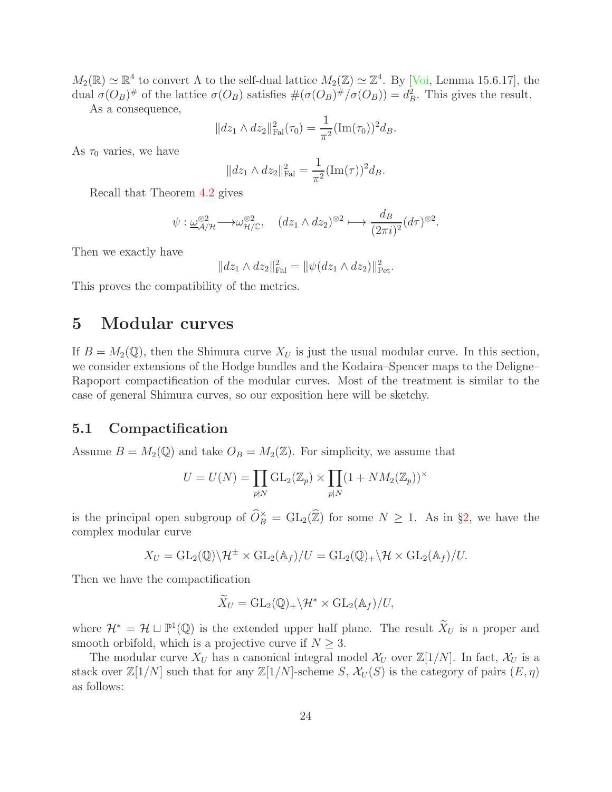$M_2(\mathbb{R}) \simeq \mathbb{R}^4$  to convert  $\Lambda$  to the self-dual lattice  $M_2(\mathbb{Z}) \simeq \mathbb{Z}^4$ . By [\[Voi,](#page-29-2) Lemma 15.6.17], the dual  $\sigma(O_B)^{\#}$  of the lattice  $\sigma(O_B)$  satisfies  $\#(\sigma(O_B)^{\#}/\sigma(O_B)) = d_B^2$ . This gives the result.

As a consequence,

$$
||dz_1 \wedge dz_2||_{\text{Fal}}^2(\tau_0) = \frac{1}{\pi^2} (\text{Im}(\tau_0))^2 d_B.
$$

As  $\tau_0$  varies, we have

$$
||dz_1 \wedge dz_2||_{\text{Fal}}^2 = \frac{1}{\pi^2} (\text{Im}(\tau))^2 d_B.
$$

Recall that Theorem [4.2](#page-19-0) gives

$$
\psi: \underline{\omega}_{\mathcal{A}/\mathcal{H}}^{\otimes 2} \longrightarrow \omega_{\mathcal{H}/\mathbb{C}}^{\otimes 2}, \quad (dz_1 \wedge dz_2)^{\otimes 2} \longmapsto \frac{d_B}{(2\pi i)^2} (d\tau)^{\otimes 2}.
$$

Then we exactly have

$$
||dz_1 \wedge dz_2||_{\text{Fal}}^2 = ||\psi(dz_1 \wedge dz_2)||_{\text{Pet}}^2.
$$

<span id="page-23-0"></span>This proves the compatibility of the metrics.

# 5 Modular curves

If  $B = M_2(\mathbb{Q})$ , then the Shimura curve  $X_U$  is just the usual modular curve. In this section, we consider extensions of the Hodge bundles and the Kodaira–Spencer maps to the Deligne– Rapoport compactification of the modular curves. Most of the treatment is similar to the case of general Shimura curves, so our exposition here will be sketchy.

#### <span id="page-23-1"></span>5.1 Compactification

Assume  $B = M_2(\mathbb{Q})$  and take  $O_B = M_2(\mathbb{Z})$ . For simplicity, we assume that

$$
U = U(N) = \prod_{p \nmid N} \mathrm{GL}_2(\mathbb{Z}_p) \times \prod_{p \mid N} (1 + NM_2(\mathbb{Z}_p))^{\times}
$$

is the principal open subgroup of  $\widehat{O}_B^\times = GL_2(\widehat{\mathbb{Z}})$  for some  $N \geq 1$ . As in §[2,](#page-3-0) we have the complex modular curve

$$
X_U = GL_2(\mathbb{Q}) \backslash \mathcal{H}^{\pm} \times GL_2(\mathbb{A}_f)/U = GL_2(\mathbb{Q})_+ \backslash \mathcal{H} \times GL_2(\mathbb{A}_f)/U.
$$

Then we have the compactification

$$
\widetilde{X}_U = \mathrm{GL}_2(\mathbb{Q})_+ \backslash \mathcal{H}^* \times \mathrm{GL}_2(\mathbb{A}_f)/U,
$$

where  $\mathcal{H}^* = \mathcal{H} \sqcup \mathbb{P}^1(\mathbb{Q})$  is the extended upper half plane. The result  $X_U$  is a proper and smooth orbifold, which is a projective curve if  $N \geq 3$ .

The modular curve  $X_U$  has a canonical integral model  $\mathcal{X}_U$  over  $\mathbb{Z}[1/N]$ . In fact,  $\mathcal{X}_U$  is a stack over  $\mathbb{Z}[1/N]$  such that for any  $\mathbb{Z}[1/N]$ -scheme S,  $\mathcal{X}_U(S)$  is the category of pairs  $(E, \eta)$ as follows: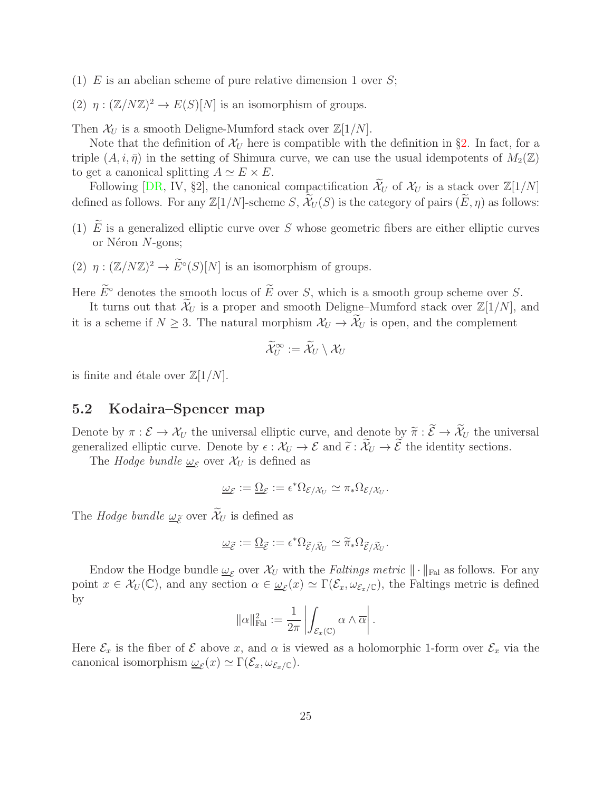- (1) E is an abelian scheme of pure relative dimension 1 over  $S$ ;
- (2)  $\eta : (\mathbb{Z}/N\mathbb{Z})^2 \to E(S)[N]$  is an isomorphism of groups.

Then  $\mathcal{X}_U$  is a smooth Deligne-Mumford stack over  $\mathbb{Z}[1/N]$ .

Note that the definition of  $\mathcal{X}_U$  here is compatible with the definition in §[2.](#page-3-0) In fact, for a triple  $(A, i, \bar{\eta})$  in the setting of Shimura curve, we can use the usual idempotents of  $M_2(\mathbb{Z})$ to get a canonical splitting  $A \simeq E \times E$ .

Following [\[DR,](#page-28-9) IV, §2], the canonical compactification  $\widetilde{\mathcal{X}}_U$  of  $\mathcal{X}_U$  is a stack over  $\mathbb{Z}[1/N]$ defined as follows. For any  $\mathbb{Z}[1/N]$ -scheme S,  $\mathcal{X}_U(S)$  is the category of pairs  $(E, \eta)$  as follows:

- (1)  $\widetilde{E}$  is a generalized elliptic curve over S whose geometric fibers are either elliptic curves or N $éron$  N-gons;
- (2)  $\eta : (\mathbb{Z}/N\mathbb{Z})^2 \to E^{\circ}(S)[N]$  is an isomorphism of groups.

Here  $\widetilde{E}^{\circ}$  denotes the smooth locus of  $\widetilde{E}$  over S, which is a smooth group scheme over S.

It turns out that  $\mathcal{X}_U$  is a proper and smooth Deligne–Mumford stack over  $\mathbb{Z}[1/N]$ , and it is a scheme if  $N \geq 3$ . The natural morphism  $\mathcal{X}_U \to \widetilde{\mathcal{X}}_U$  is open, and the complement

$$
\widetilde{\mathcal{X}}_U^\infty:=\widetilde{\mathcal{X}}_U\setminus \mathcal{X}_U
$$

is finite and étale over  $\mathbb{Z}[1/N]$ .

#### <span id="page-24-0"></span>5.2 Kodaira–Spencer map

Denote by  $\pi : \mathcal{E} \to \mathcal{X}_U$  the universal elliptic curve, and denote by  $\widetilde{\pi} : \widetilde{\mathcal{E}} \to \widetilde{\mathcal{X}}_U$  the universal generalized elliptic curve. Denote by  $\epsilon : \mathcal{X}_U \to \mathcal{E}$  and  $\tilde{\epsilon} : \tilde{\mathcal{X}}_U \to \tilde{\mathcal{E}}$  the identity sections.

The *Hodge bundle*  $\underline{\omega}_{\mathcal{E}}$  over  $\mathcal{X}_U$  is defined as

$$
\underline{\omega}_{\mathcal{E}} := \underline{\Omega}_{\mathcal{E}} := \epsilon^* \Omega_{\mathcal{E}/\mathcal{X}_U} \simeq \pi_* \Omega_{\mathcal{E}/\mathcal{X}_U}.
$$

The *Hodge bundle*  $\underline{\omega}_{\widetilde{\mathcal{E}}}$  over  $\widetilde{\mathcal{X}}_U$  is defined as

$$
\underline{\omega}_{\widetilde{\mathcal{E}}} := \underline{\Omega}_{\widetilde{\mathcal{E}}} := \epsilon^* \Omega_{\widetilde{\mathcal{E}} / \widetilde{\mathcal{X}}_U} \simeq \widetilde{\pi}_* \Omega_{\widetilde{\mathcal{E}} / \widetilde{\mathcal{X}}_U}.
$$

Endow the Hodge bundle  $\underline{\omega}_{\mathcal{E}}$  over  $\mathcal{X}_U$  with the *Faltings metric*  $\|\cdot\|_{\text{Fal}}$  as follows. For any point  $x \in \mathcal{X}_U(\mathbb{C})$ , and any section  $\alpha \in \underline{\omega}_{\mathcal{E}}(x) \simeq \Gamma(\mathcal{E}_x, \omega_{\mathcal{E}_x/\mathbb{C}})$ , the Faltings metric is defined by

$$
\|\alpha\|_{\mathrm{Fal}}^2 := \frac{1}{2\pi} \left| \int_{\mathcal{E}_x(\mathbb{C})} \alpha \wedge \overline{\alpha} \right|.
$$

Here  $\mathcal{E}_x$  is the fiber of  $\mathcal E$  above x, and  $\alpha$  is viewed as a holomorphic 1-form over  $\mathcal E_x$  via the canonical isomorphism  $\omega_{\mathcal{E}}(x) \simeq \Gamma(\mathcal{E}_x, \omega_{\mathcal{E}_x/\mathbb{C}}).$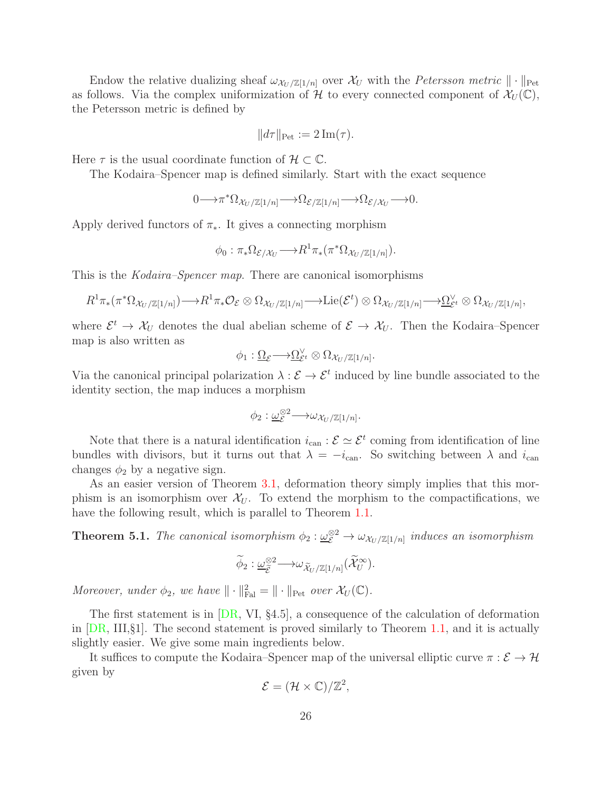Endow the relative dualizing sheaf  $\omega_{\mathcal{X}_U/\mathbb{Z}[1/n]}$  over  $\mathcal{X}_U$  with the *Petersson metric*  $\|\cdot\|_{\text{Pet}}$ as follows. Via the complex uniformization of H to every connected component of  $\mathcal{X}_U(\mathbb{C})$ , the Petersson metric is defined by

$$
||d\tau||_{\text{Pet}} := 2 \operatorname{Im}(\tau).
$$

Here  $\tau$  is the usual coordinate function of  $\mathcal{H} \subset \mathbb{C}$ .

The Kodaira–Spencer map is defined similarly. Start with the exact sequence

$$
0 \longrightarrow \pi^* \Omega_{\mathcal{X}_U/\mathbb{Z}[1/n]} \longrightarrow \Omega_{\mathcal{E}/\mathbb{Z}[1/n]} \longrightarrow \Omega_{\mathcal{E}/\mathcal{X}_U} \longrightarrow 0.
$$

Apply derived functors of  $\pi_*$ . It gives a connecting morphism

$$
\phi_0: \pi_*\Omega_{\mathcal{E}/\mathcal{X}_U} \longrightarrow R^1\pi_*\left(\pi^*\Omega_{\mathcal{X}_U/\mathbb{Z}[1/n]}\right).
$$

This is the Kodaira–Spencer map. There are canonical isomorphisms

$$
R^1\pi_* (\pi^* \Omega_{\mathcal{X}_U/\mathbb{Z}[1/n]}) \longrightarrow R^1\pi_* \mathcal{O}_{\mathcal{E}} \otimes \Omega_{\mathcal{X}_U/\mathbb{Z}[1/n]} \longrightarrow \mathrm{Lie}(\mathcal{E}^t) \otimes \Omega_{\mathcal{X}_U/\mathbb{Z}[1/n]} \longrightarrow \underline{\Omega}_{\mathcal{E}^t}^{\vee} \otimes \Omega_{\mathcal{X}_U/\mathbb{Z}[1/n]},
$$

where  $\mathcal{E}^t \to \mathcal{X}_U$  denotes the dual abelian scheme of  $\mathcal{E} \to \mathcal{X}_U$ . Then the Kodaira–Spencer map is also written as

$$
\phi_1: \underline{\Omega}_{\mathcal{E}} \longrightarrow \underline{\Omega}_{\mathcal{E}^t}^{\vee} \otimes \Omega_{\mathcal{X}_U/\mathbb{Z}[1/n]}.
$$

Via the canonical principal polarization  $\lambda : \mathcal{E} \to \mathcal{E}^t$  induced by line bundle associated to the identity section, the map induces a morphism

$$
\phi_2: \underline{\omega}_{\mathcal{E}}^{\otimes 2} \longrightarrow \omega_{\mathcal{X}_U/\mathbb{Z}[1/n]}.
$$

Note that there is a natural identification  $i_{\text{can}} : \mathcal{E} \simeq \mathcal{E}^t$  coming from identification of line bundles with divisors, but it turns out that  $\lambda = -i_{\text{can}}$ . So switching between  $\lambda$  and  $i_{\text{can}}$ changes  $\phi_2$  by a negative sign.

As an easier version of Theorem [3.1,](#page-8-2) deformation theory simply implies that this morphism is an isomorphism over  $\mathcal{X}_U$ . To extend the morphism to the compactifications, we have the following result, which is parallel to Theorem [1.1.](#page-2-0)

<span id="page-25-0"></span>**Theorem 5.1.** The canonical isomorphism  $\phi_2 : \underline{\omega}_{\mathcal{E}}^{\otimes 2} \to \omega_{\mathcal{X}_U/\mathbb{Z}[1/n]}$  induces an isomorphism

$$
\widetilde{\phi}_2: \underline{\omega}_{\widetilde{\mathcal{E}}}^{\otimes 2} \longrightarrow \omega_{\widetilde{\mathcal{X}}_U/\mathbb{Z}[1/n]}(\widetilde{\mathcal{X}}_U^{\infty}).
$$

Moreover, under  $\phi_2$ , we have  $\|\cdot\|_{\text{Fal}}^2 = \|\cdot\|_{\text{Pet}}$  over  $\mathcal{X}_U(\mathbb{C})$ .

The first statement is in [\[DR,](#page-28-9) VI, §4.5], a consequence of the calculation of deformation in  $[DR, III, §1]$ . The second statement is proved similarly to Theorem [1.1,](#page-2-0) and it is actually slightly easier. We give some main ingredients below.

It suffices to compute the Kodaira–Spencer map of the universal elliptic curve  $\pi : \mathcal{E} \to \mathcal{H}$ given by

$$
\mathcal{E} = (\mathcal{H} \times \mathbb{C})/\mathbb{Z}^2,
$$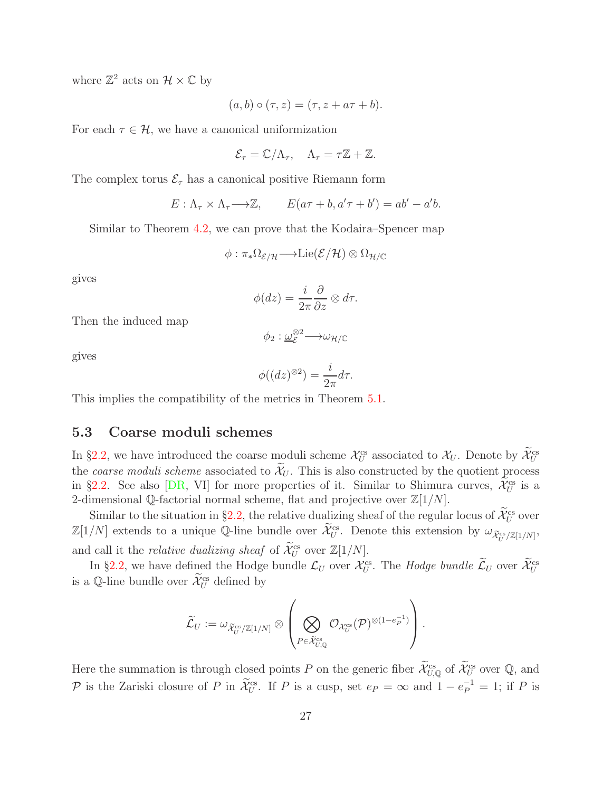where  $\mathbb{Z}^2$  acts on  $\mathcal{H} \times \mathbb{C}$  by

$$
(a,b)\circ(\tau,z)=(\tau,z+a\tau+b).
$$

For each  $\tau \in \mathcal{H}$ , we have a canonical uniformization

$$
\mathcal{E}_{\tau} = \mathbb{C}/\Lambda_{\tau}, \quad \Lambda_{\tau} = \tau \mathbb{Z} + \mathbb{Z}.
$$

The complex torus  $\mathcal{E}_{\tau}$  has a canonical positive Riemann form

$$
E: \Lambda_{\tau} \times \Lambda_{\tau} \longrightarrow \mathbb{Z}, \qquad E(a\tau + b, a'\tau + b') = ab' - a'b.
$$

Similar to Theorem [4.2,](#page-19-0) we can prove that the Kodaira–Spencer map

$$
\phi: \pi_*\Omega_{\mathcal{E}/\mathcal{H}} \longrightarrow \mathrm{Lie}(\mathcal{E}/\mathcal{H}) \otimes \Omega_{\mathcal{H}/\mathbb{C}}
$$

gives

$$
\phi(dz) = \frac{i}{2\pi} \frac{\partial}{\partial z} \otimes d\tau.
$$

Then the induced map

$$
\phi_2 : \underline{\omega}_{\mathcal{E}}^{\otimes 2} \longrightarrow \omega_{\mathcal{H}/\mathbb{C}}
$$

gives

$$
\phi((dz)^{\otimes 2}) = \frac{i}{2\pi} d\tau.
$$

<span id="page-26-0"></span>This implies the compatibility of the metrics in Theorem [5.1.](#page-25-0)

#### 5.3 Coarse moduli schemes

In §[2.2,](#page-5-0) we have introduced the coarse moduli scheme  $\mathcal{X}_U^{\text{cs}}$  associated to  $\mathcal{X}_U$ . Denote by  $\mathcal{X}_U^{\text{cs}}$ the coarse moduli scheme associated to  $\widetilde{\mathcal{X}}_U$ . This is also constructed by the quotient process in §[2.2.](#page-5-0) See also [\[DR,](#page-28-9) VI] for more properties of it. Similar to Shimura curves,  $\mathcal{X}_U^{\text{cs}}$  is a 2-dimensional Q-factorial normal scheme, flat and projective over  $\mathbb{Z}[1/N]$ .

Similar to the situation in §[2.2,](#page-5-0) the relative dualizing sheaf of the regular locus of  $\widetilde{\mathcal{X}}_U^{\text{cs}}$  over  $\mathbb{Z}[1/N]$  extends to a unique Q-line bundle over  $\widetilde{\mathcal{X}}_U^{\text{cs}}$ . Denote this extension by  $\omega_{\widetilde{\mathcal{X}}_U^{\text{cs}}/\mathbb{Z}[1/N]}$ , and call it the *relative dualizing sheaf* of  $\widetilde{\mathcal{X}}_U^{\text{cs}}$  over  $\mathbb{Z}[1/N]$ .

In §[2.2,](#page-5-0) we have defined the Hodge bundle  $\mathcal{L}_U$  over  $\mathcal{X}_U^{\text{cs}}$ . The Hodge bundle  $\mathcal{L}_U$  over  $\mathcal{X}_U^{\text{cs}}$ is a Q-line bundle over  $\mathcal{X}_U^{\text{cs}}$  defined by

$$
\widetilde{\mathcal{L}}_U:=\omega_{\widetilde{\mathcal{X}}_U^{\text{cs}}/\mathbb{Z}[1/N]}\otimes \left(\bigotimes_{P\in \widetilde{\mathcal{X}}_{U,{\mathbb Q}}^{\text{cs}}} \mathcal{O}_{\mathcal{X}_U^{\text{cs}}}(\mathcal{P})^{\otimes (1-e_P^{-1})}\right).
$$

Here the summation is through closed points P on the generic fiber  $\mathcal{X}_{U,Q}^{\text{cs}}$  of  $\mathcal{X}_{U}^{\text{cs}}$  over  $\mathbb{Q}$ , and P is the Zariski closure of P in  $\mathcal{X}_U^{\text{cs}}$ . If P is a cusp, set  $e_P = \infty$  and  $1 - e_P^{-1} = 1$ ; if P is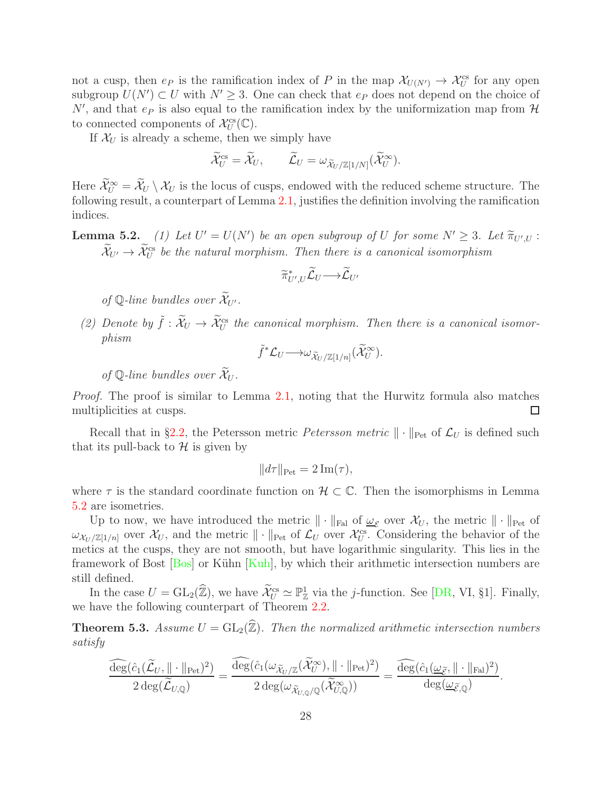not a cusp, then  $e_P$  is the ramification index of P in the map  $\mathcal{X}_{U(N')} \to \mathcal{X}_U^{cs}$  for any open subgroup  $U(N') \subset U$  with  $N' \geq 3$ . One can check that  $e_P$  does not depend on the choice of  $N'$ , and that  $e_P$  is also equal to the ramification index by the uniformization map from  $\mathcal H$ to connected components of  $\mathcal{X}_U^{\text{cs}}(\mathbb{C})$ .

If  $\mathcal{X}_U$  is already a scheme, then we simply have

$$
\widetilde{\mathcal{X}}_U^{\textup{cs}}=\widetilde{\mathcal{X}}_U,\qquad \widetilde{\mathcal{L}}_U=\omega_{\widetilde{\mathcal{X}}_U/\mathbb{Z}[1/N]}(\widetilde{\mathcal{X}}_U^{\infty}).
$$

Here  $\mathcal{X}_U^{\infty} = \mathcal{X}_U \setminus \mathcal{X}_U$  is the locus of cusps, endowed with the reduced scheme structure. The following result, a counterpart of Lemma 2.1, justifies the definition involving the ramification indices.

**Lemma 5.2.** (1) Let  $U' = U(N')$  be an open subgroup of U for some  $N' \geq 3$ . Let  $\widetilde{\pi}_{U',U}$ :  $\widetilde{\mathcal{X}}_{U'} \to \widetilde{\mathcal{X}}_U^{\text{cs}}$  be the natural morphism. Then there is a canonical isomorphism

$$
\widetilde{\pi}_{U',U}^* \widetilde{\mathcal{L}}_U \longrightarrow \widetilde{\mathcal{L}}_{U'}
$$

of  $\mathbb{O}$ -line bundles over  $\widetilde{\mathcal{X}}_{U'}$ .

(2) Denote by  $\tilde{f} : \tilde{\mathcal{X}}_U \to \tilde{\mathcal{X}}_U^{\text{cs}}$  the canonical morphism. Then there is a canonical isomorphism

$$
\tilde{f}^* \mathcal{L}_U \longrightarrow \omega_{\widetilde{\mathcal{X}}_U/\mathbb{Z}[1/n]}(\widetilde{\mathcal{X}}_U^{\infty}).
$$

of  $\mathbb{O}$ -line bundles over  $\widetilde{\mathcal{X}}_{U}$ .

Proof. The proof is similar to Lemma 2.1, noting that the Hurwitz formula also matches multiplicities at cusps.  $\Box$ 

Recall that in §[2.2,](#page-5-0) the Petersson metric *Petersson metric*  $\|\cdot\|_{\text{Pet}}$  of  $\mathcal{L}_U$  is defined such that its pull-back to  $\mathcal H$  is given by

$$
||d\tau||_{\text{Pet}} = 2 \operatorname{Im}(\tau),
$$

where  $\tau$  is the standard coordinate function on  $\mathcal{H} \subset \mathbb{C}$ . Then the isomorphisms in Lemma 5.2 are isometries.

Up to now, we have introduced the metric  $\|\cdot\|_{\text{Fal}}$  of  $\underline{\omega}_{\mathcal{E}}$  over  $\mathcal{X}_U$ , the metric  $\|\cdot\|_{\text{Pet}}$  of  $\omega_{\mathcal{X}_U/\mathbb{Z}[1/n]}$  over  $\mathcal{X}_U$ , and the metric  $\|\cdot\|_{\text{Pet}}$  of  $\mathcal{L}_U$  over  $\mathcal{X}_U^{\text{cs}}$ . Considering the behavior of the metics at the cusps, they are not smooth, but have logarithmic singularity. This lies in the framework of Bost [\[Bos\]](#page-28-10) or Kühn [\[Kuh\]](#page-28-1), by which their arithmetic intersection numbers are still defined.

In the case  $U = GL_2(\mathbb{Z})$ , we have  $\mathcal{X}_U^{\text{cs}} \simeq \mathbb{P}_{\mathbb{Z}}^1$  via the *j*-function. See [\[DR,](#page-28-9) VI, §1]. Finally, we have the following counterpart of Theorem [2.2.](#page-7-0)

<span id="page-27-0"></span>**Theorem 5.3.** Assume  $U = GL_2(\widehat{\mathbb{Z}})$ . Then the normalized arithmetic intersection numbers satisfy

$$
\frac{\widehat{\deg}(\widehat{c}_1(\widetilde{\mathcal{L}}_{U}, \|\cdot\|_{\text{Pet}})^2)}{2\deg(\widetilde{\mathcal{L}}_{U,\mathbb{Q}})} = \frac{\widehat{\deg}(\widehat{c}_1(\omega_{\widetilde{\mathcal{X}}_{U}/\mathbb{Z}}(\widetilde{\mathcal{X}}_{U}^{\infty}), \|\cdot\|_{\text{Pet}})^2)}{2\deg(\omega_{\widetilde{\mathcal{X}}_{U,\mathbb{Q}}/\mathbb{Q}}(\widetilde{\mathcal{X}}_{U,\mathbb{Q}}^{\infty}))} = \frac{\widehat{\deg}(\widehat{c}_1(\omega_{\widetilde{\mathcal{E}}}, \|\cdot\|_{\text{ Fal}})^2)}{\deg(\omega_{\widetilde{\mathcal{E}},\mathbb{Q}})}.
$$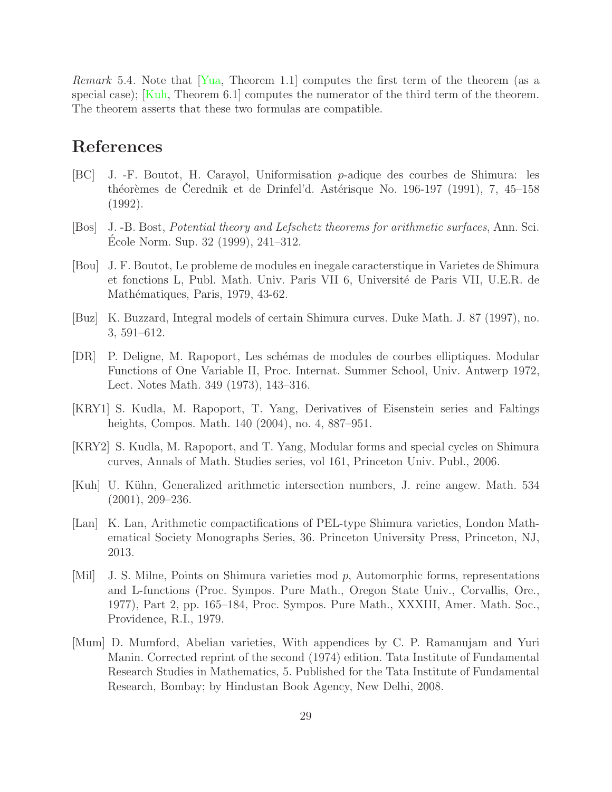Remark 5.4. Note that [\[Yua,](#page-29-1) Theorem 1.1] computes the first term of the theorem (as a special case);  $\overline{Kuh}$ , Theorem 6.1] computes the numerator of the third term of the theorem. The theorem asserts that these two formulas are compatible.

# References

- <span id="page-28-4"></span>[BC] J. -F. Boutot, H. Carayol, Uniformisation p-adique des courbes de Shimura: les théorèmes de Cerednik et de Drinfel'd. Astérisque No. 196-197 (1991), 7, 45–158 (1992).
- <span id="page-28-10"></span>[Bos] J. -B. Bost, Potential theory and Lefschetz theorems for arithmetic surfaces, Ann. Sci. Ecole Norm. Sup. 32 (1999), 241–312. ´
- <span id="page-28-6"></span>[Bou] J. F. Boutot, Le probleme de modules en inegale caracterstique in Varietes de Shimura et fonctions L, Publ. Math. Univ. Paris VII 6, Université de Paris VII, U.E.R. de Mathématiques, Paris, 1979, 43-62.
- <span id="page-28-5"></span>[Buz] K. Buzzard, Integral models of certain Shimura curves. Duke Math. J. 87 (1997), no. 3, 591–612.
- <span id="page-28-9"></span>[DR] P. Deligne, M. Rapoport, Les sch´emas de modules de courbes elliptiques. Modular Functions of One Variable II, Proc. Internat. Summer School, Univ. Antwerp 1972, Lect. Notes Math. 349 (1973), 143–316.
- <span id="page-28-0"></span>[KRY1] S. Kudla, M. Rapoport, T. Yang, Derivatives of Eisenstein series and Faltings heights, Compos. Math. 140 (2004), no. 4, 887–951.
- <span id="page-28-2"></span>[KRY2] S. Kudla, M. Rapoport, and T. Yang, Modular forms and special cycles on Shimura curves, Annals of Math. Studies series, vol 161, Princeton Univ. Publ., 2006.
- <span id="page-28-1"></span>[Kuh] U. Kühn, Generalized arithmetic intersection numbers, J. reine angew. Math. 534 (2001), 209–236.
- <span id="page-28-7"></span>[Lan] K. Lan, Arithmetic compactifications of PEL-type Shimura varieties, London Mathematical Society Monographs Series, 36. Princeton University Press, Princeton, NJ, 2013.
- <span id="page-28-3"></span>[Mil] J. S. Milne, Points on Shimura varieties mod p, Automorphic forms, representations and L-functions (Proc. Sympos. Pure Math., Oregon State Univ., Corvallis, Ore., 1977), Part 2, pp. 165–184, Proc. Sympos. Pure Math., XXXIII, Amer. Math. Soc., Providence, R.I., 1979.
- <span id="page-28-8"></span>[Mum] D. Mumford, Abelian varieties, With appendices by C. P. Ramanujam and Yuri Manin. Corrected reprint of the second (1974) edition. Tata Institute of Fundamental Research Studies in Mathematics, 5. Published for the Tata Institute of Fundamental Research, Bombay; by Hindustan Book Agency, New Delhi, 2008.